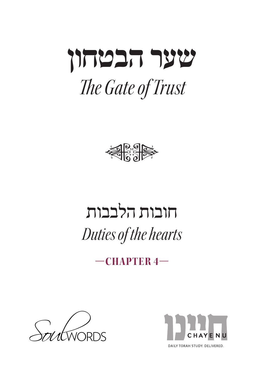



# חובות הלבבות *Duties of the hearts*

**—4 CHAPTER—**



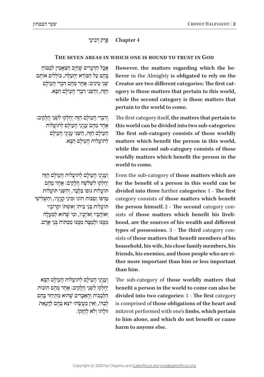### **4 Chapter** פֵּרֵק רִבְיעֵי

# THE SEVEN AREAS IN WHICH ONE IS BOUND TO TRUST IN GOD

ּ אֲבָל הַדִּבְרִים שָׁחַיִּב הַמֵּאֲמִין לִבְטּוֹחַ ְבָּהֶם עַל הַבּוֹרָא יִתְעַלֶּה, כּוֹלְלִים אוֹתֵם ׁש ּ ְ נֵ י מִ ינִ ים: אֶ חָ ד מֵ הֶ ם ד ֹ ִ בְ רֵ י הָ עולָ ם ָהזה, וְהִשׁנֵי דִּבְרִי הַעַוֹלִם הַבֵּא.

וִדִבְרִי הַעוֹלַם הַזֵּה יֵחַלְקוּ לִשְׁנֵי חֲלַקִים: אחד מהם עניני העולם לתועלות הַעוֹלַם הַזֶּה, הַשֶּׁנִי עַנְיְנֵי הַעוֹלַם לתועלות העולם הבא.

וְעַנְיְנֵי הַעוֹלַם לְתוֹעֲלוֹת הַעוֹלַם הַזֶּה ּ יֵחָ לְ קו ׁ לִ שְ לֹ ִ שָׁ ה חֲ לָ קים: אֶ חָ ד מֵ הֶ ם ּתֹו ֹעֲ לו ּת גּו ֹפו ּׁ בִּ לְ בָ ד, וְ הַ ש ֵּ נִ י תֹו ֹעֲ לות ְטַרְפּוֹ וְסִבּוֹת הוֹנוֹ וּמִינֵי קִנְיַנֵיו, וְהַשָּׁלִישִׁי ּתֹו ֹעֲ לו ֹ ת בְּ נֵ י בֵ יתו ׁ וְ אִ ש ְּ תֹו ּ וְק ֹרובָ יו וְ אוֹהֲבָיו וְאוֹיְבֵיו, וּמִי שָׁהוּא לְמַעַלַה ּמִמְּנּוּ וּלְמֵמַה מִמְּנּוּ מִכְּתּוֹת בְּנֵי אַדָם.

וְעֵנִינִי הִעוֹלִם לִתוֹעַלוֹת הִעְוֹלִם הִבֵּא  $i$ יחלקוּ לִשְׁנֵי חֲלָקִים: אֱחָד מֶהֶם חוֹבוֹת הַלְּבָבוֹת וְהָאֵבָרִים שֶׁהוּא מְתִיַחֵד בָּהֶם לְבַדּוֹ, וְאֵין מַעֲשֶׂהוּ יוֹצֵא בָּהֶם לַהֲנָאַת ּזו ֹ לָ תו וְ לֹ ּ א לְ הֶ ז ֹ ֵקו.  **the Almighty is obligated to rely on the** However, the matters regarding which the beegory is those matters that pertain to this world, Creator are two different categories: The first catwhile the second category is those matters that pertain to the world to come.

The first category itself, the matters that pertain to this world can be divided into two sub-categories: The first sub-category consists of those worldly matters which benefit the person in this world, while the second sub-category consists of those worldly matters which benefit the person in the world to come.

Even the sub-category of those matters which are for the benefit of a person in this world can be divided into three further categories: 1 - The first category consists of those matters which benefit hood, are the sources of his wealth and different sists of those matters which benefit his livelithe person himself. 2 - The second category consists of those matters that benefit members of his types of possessions. 3 - The third category conhousehold, his wife, his close family members, his friends, his enemies, and those people who are ei-<br>ther more important than him or less important than him.

The sub-category of those worldly matters that **benefit a person in the world to come can also be** divided into two categories: 1 - The first category is comprised of those obligations of the heart and mitzvot performed with one's limbs, which pertain to him alone, and which do not benefit or cause harm to anyone else.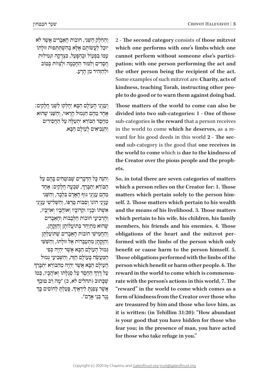2 - The second category consists of those mitzvot which one performs with one's limbs which one pation; with one person performing the act and cannot perform without someone else's particithe other person being the recipient of the act. Some examples of such mitzvot are: Charity, acts of ple to do good or to warn them against doing bad. kindness, teaching Torah, instructing other peo-

Those matters of the world to come can also be divided into two sub-categories: 1 - One of those sub-categories is the reward that a person receives **ond** sub-category is the good that one receives in ward for his good deeds in this world 2 - The secin the world to come which he deserves, as a rethe world to come which is due to the kindness of the Creator over the pious people and the prophets.

So, in total there are seven categories of matters which a person relies on the Creator for: 1. Those self. 2. Those matters which pertain to his wealth matters which pertain solely to the person himand the means of his livelihood, 3. Those matters which pertain to his wife, his children, his family members, his friends and his enemies. 4. Those formed with the limbs of the person which only obligations of the heart and the mitzvot perbenefit or cause harm to the person himself. 5. Those obligations performed with the limbs of the **person** which benefit or harm other people. 6. The rate with the person's actions in this world, 7. The reward in the world to come which is commensu-"**reward"** in the world to come which comes as a form of kindness from the Creator over those who are treasured by him and those who love him, as it is written: (in Tehillim 31:20): "How abundant is your good that you have hidden for those who fear you; in the presence of man, you have acted for those who take refuge in you."

ּׁ וְ הַ חֵ לֶ ק הַ ש ֹ ֵ נִ י, חו ֹבו ׁ ת הָ אֵ בָ רִ ים אֲ שֶ ר לֹא ּיו ׂ כַ ל לַ עֲ שֹו ּ תָ ם אֶ ל ָׁ א בְּ הִ ש ּ ְ ת ּ ַ ת ְּ פו ּת זו ֹ לָ תו עמו בִּפְעוֹל וּבְהִפְּעֵל, כִּצְדַקָה וּגְמִילוּת הַסְדִים וְלִמּוּד הַחָכְמָה וּלְצַוּוֹת בְּטוֹב ּוּלְהַזְהִיר מֵן הַרֵע.

וְעַנְיֵנֵי הֲעוֹלָם הַבָּא יֶחֲלְקוּ לִשְׁנֵי חֲלָקִים:  $\kappa$ חַר מֵהֶם הַגְּמוּל הַרֵאוּי, וְהַשֵּׁנֵי שֲהוּא ְמַחֵםֶר הַבּוֹרֵא יֶתְעָלֶה עַל הַחֲסִידִים ּ וְ הַ נ ֹ ְ בִ יאִ ים לָ עולָ ם הַ בָּ א.

וְהִגָּה כַּל הַדְּבָרִים שֵׁבּוֹטְחִים בַּהֶם עַל ֧֧֦֧֧֝֬֝֬֓<u>֓</u> הַבּוֹרֵא יִתְבְּרֵךְ, שִׁבְעָה חֲלָקִים: אֶחָד מהם עניני גּוּף האדם בּלבד, והשִׁני עִנְיֵנֵי הוֹנוֹ וְסִבּוֹת טַרְפּוֹ, וְהַשָּׁלִישִׁי עַנְיְנֵי ׁאִ ש ּ ְ תֹו ּ ו ּ בָ נָ יו וְק ֹרו ֹ בָ יו וְ או ֹ הֲ בָ יו וְ אויְבָ יו, וְהַרְבְיעֵי חוֹבוֹת הַלְּבָבוֹת וְהָאֱבָרִים שְׁהוּא מְתְיַחֵד בְּתוֹעֲלוֹתַן וְהַזַּקַתַן, וְהַחֲמִישִׁי חוֹבוֹת הָאֲבָרִים שֵׁתּוֹעַלְתָּן וְהַזַּקְתַן מְתִעֲבְרוֹת אֱל זוּלַתוֹ, וְהַשָּׁשִׁי  $\,$  גּמוּל העולם הבא אשר יהיה כפי הַמַּעֲשֶׂה בְּעוֹלָם הַזֶּה, וְהַשְּׁבִיעֵי גְּמוּל<br>הָעוֹלָם הַבָּא אֲשֶׁר יִהְיֶה מֵהַבּוֹרֵא יִתְבְּרֵךְ ְְעַל דֶּרֶךְ הַחֱםֶד עַל סְגְלַתוֹ וְאוֹהֲבָיו, כְּמוֹ ַעַל דֶּרֶךְ הַחֶסֶר עַל סְגֻלְתוֹ וְאוֹהֲבְיו, כְּמ<br>שֶׁבְּתוּב (תהלים לא, כ) ״מֶה רַב טוּבְךָ ְ ָאֲשֶׁר צָפַּנְתָ *לִירֵאֶיךָ, פְּעַלְתָ לַחוֹסִים בְּ*ךָ נֶ גֶ ד בְּ נֵ י אָ דָ ם".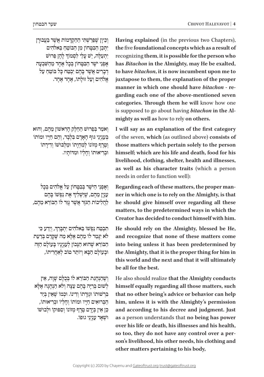וְכֵיוָן שֶׁפֵּרַשְׁתִּי הַהַקְדָּמוֹת אֲשֶׁר בַּעֲבוּרָן ּיִת ּ ָ כֵ ן הַ בִּ ט ֹ ָ חו ֹ ן מִ ן הַ בּ וטֵ חַ בֵּ אלֹהִ ים ְיִתְעַלֶּה, יֵשׁ עָלַי לִסְמוֹךְ לְהֶן פֵּרוּשׁ אָפְנֵי יֹשֶׁר הַבְּטֵּחוֹן בְּכֵל אֶחֶד מֵהַשָּׁבְעָה דְבְרִים אֲשֶׁר בָּהֶם יָבְטֵה כַּל בּוֹטֵה עַל אֱלֹהִים וְעַל זוּלַתוֹ, אֶחֶד אֶחֶד.

ֹ וְ א ּ מַ ר בְּ פֵ רו ׁש ׁ הַ חֵ לֶ ק הָ רִ אשֹו ּ ן מֵ הֶ ם, וְ הוא בְּעַנְיְנֵי גּוּף הַאֲדָם בִּלְבָד, וְהֶם חַיֵּיו וּמוֹתוֹ וְטֵרֶף מְזוֹנוֹ לְמִחְיַתוֹ וּמֵלְבּוּשׁוֹ וְדִירַתוֹ ּו ּ בְ רִ יאו ֹתו ֹ וְ חָ לְ יו ּ ו ּמִ דֹותָ יו.

וְ אָפְנֵי הַיֹּשֶׁר בְּבְמַחוֹן עַל אֱלֹהִים בְּכָל ְעִנְיָן מֵהֶם, שֶׁיַשְׁלִיךְ אֶת נַפְּשׁוֹ בְּהֶם ֹלְהֲלִיכוֹת הַגֹּוֶר אֲשֶׁר גַּוַר לו הַבּוֹרֵא מֱהֶם,

ְּ תִבְּטַח נַפְּשׁוֹ בֵּאלֹהִים יִתְבְּרֵךָ, וְיֵדַע כִּי לֹא יִגְּמֵר לוֹ מֵהֶם אֶלְא מַה שֶׁקְרַם בְּדַעַת הַבּוֹרָא שֶׁהוּא הַנִּכוֹן לְעַנְיַנֵיו בְּעוֹלָם הַזֶּה וּבְעוֹלַם הַבָּא וְיוֹתֵר טוֹב לְאַחֲרִיתוֹ,

וְשֶׁהַנְהַגַת הַבּוֹרָא לו בְּבִלָּם שָׁוַה, אֵין ׁלְ שּו ּ ם בְּ רִ יָה בָּ הֶ ם עֵ צָ ה וְ לֹ ּ א הַ נְ הָ גָ ה אֶ לָ א בִּרְשׁוּתוֹ וּגְזֵרְתוֹ וְדִינוֹ. וּכְמוֹ שֵׁאֵין בְּיַד הַבְּרוּאִים חַיֵּיו וּמוֹתוֹ וְחַלְיוֹ וּבְרִיאוּתוֹ, ֿ בֵּן אֵין בְּיֶדָם טֱרֶף מְזוֹנוֹ וְסִפּוּקוֹ וּלְבוּשׁוֹ ּו ׁש ִ ְ אָ ר ע ּ נְ יְנֵ י גו ֹפו. Having explained (in the previous two Chapters), **the** five foundational concepts which as a result of recognizing them, it is possible for the person who has *Bitachon* in the Almighty, may He be exalted, to have *bitachon*, it is now incumbent upon me to juxtapose to them, the explanation of the proper garding each one of the above-mentioned seven manner in which one should have *bitachon* - recategories. Through them he will know how one is supposed to go about having *bitachon* in the Al-<br>mighty as well as how to rely on others.

I will say as an explanation of the first category of the seven, which (as outlined above) consists of those matters which pertain solely to the person himself; which are his life and death, food for his livelihood, clothing, shelter, health and illnesses, as well as his character traits (which a person needs in order to function well):

ner in which one is to rely on the Almighty, is that Regarding each of these matters, the proper manhe should give himself over regarding all these matters, to the predetermined ways in which the **Creator has decided to conduct himself with him.** 

He should rely on the Almighty, blessed be He, and recognize that none of these matters come into being unless it has been predetermined by **the Almighty, that it is the proper thing for him in** this world and the next and that it will ultimately be all for the best.

He also should realize that the Almighty conducts himself equally regarding all those matters, such that no other being's advice or behavior can help him, unless it is with the Almighty's permission and according to his decree and judgment. Just as a person understands that no being has power over his life or death, his illnesses and his health, son's livelihood, his other needs, his clothing and so too, they do not have any control over a perother matters pertaining to his body,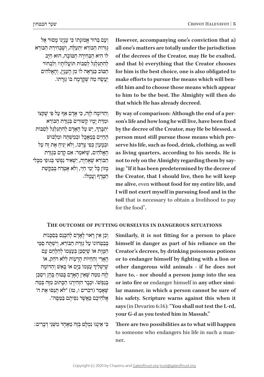וְעָם בֵּרוּר אֱמוּנָתוֹ כִּי עָנְיָנוֹ מָסוּר אֶל **גְזֵרוֹת הַבּוֹרָא יִתְעַלֵּה, וְשֵׁבְחִירַת הַבּוֹרָא** ֹלו ּ הִ יא הַ בְּ חִ ירָ ה הַ טֹו ּ בָ ה, הו ּ א חַ יָב לְהָתְגַּלְגֶל לְסִבּוֹת תּוֹעֲלוֹתֵיו וְלִבְחוֹר ּהַ טֹו ּב כ ַּ נ ֹ ִ רְ אֶ ה לו ִ מִ ן הָ ענְ יָן, וְ הָ אֱ לֹהִ ים ַיְעֲשֶׂה מַה שֶׁקְרָמָה בּוֹ גְּזֵרְתוֹ.

וְהַדוֹמֶה לְזֶה, כִּי אָדָם אַף עַל פִּי שֶׁקִּצוֹ  $\alpha$ וּמִדַּת יָמֵיו קַשׁוּרִים בִּגְזֵרַת הַבּוֹרֵא ְיִתְבְּרֵךְ, יֵשׁ עַל הָאָדָם לְהִתְגַּלְגֵּל לְסִבּוֹת החיים במאכל וּבמֹשׁתּה וּמלִבּוּשׁ וּבְמֵעוֹן כִּפִי צַרְכּוֹ, וְלֹא יַנִּיחַ אֶת זֶה עַל הַאֲלֹהִים, שֵׁיֹּאמֵר: אִם קַדַם בִּגְזֵרת הַבּוֹרָא שֵׁאֲחָיֶה, יַשְׁאִיר נַפְּשִׁי בְּגוּפִי מִבְּלִי ּמְזוֹן כְּל יְמֵי חַיַּי, וְלֹא אֶטְרַח בְּבַקְשַׁת הַטֵּרְף וַעָמַלוֹ.

**However, accompanying one's conviction that a)** all one's matters are totally under the jurisdiction of the decrees of the Creator, may He be exalted, and that b) everything that the Creator chooses for him is the best choice, one is also obligated to efit him and to choose those means which appear make efforts to pursue the means which will bento him to be the best. The Almighty will then do that which He has already decreed.

son's life and how long he will live, have been fixed By way of comparison: Although the end of a perby the decree of the Creator, may He be blessed, a serve his life, such as food, drink, clothing, as well person must still pursue those means which preas living quarters, according to his needs. He is ing: "If it has been predetermined by the decree of not to rely on the Almighty regarding them by saythe Creator, that I should live, then he will keep me alive, even without food for my entire life, and I will not exert myself in pursuing food and in the toil that is necessary to obtain a livelihood to pay for the food".

# THE OUTCOME OF PUTTING OURSELVES IN DANGEROUS SITUATIONS

ּ וְ כֵ ן אֵ ין רָ או ּ י לָ אָ דָ ם לְ הִ כ ּ ָ נֵ ס בְּ סַ כ ָֹ נות בִּ בְּמַחוֹנוֹ עַל גַּזְרַת הַבּוֹרֹא, וִישַׁתָּה סִמֵּי המות או שִׁיִּםכּן בִּעַצְמוֹ לְהִלְחֵם עָם ּהָאֲרִי וְהַחַיּוֹת הָרָעוֹת לְלֹא דֹחַק, או ֧֧֦֧֧֝֬֝֬֓<u>֓</u> שְׁיַשְׁלִיךְ עַצְמוֹ בַּיָּם או בְּאֵשׁ וְהַדוֹמֶה ּ לָ זֶה מִ מ ּׁ ַ ה ש ּ ֶ אֵ ין הָ אָ דָ ם בָּ טו ּ חַ בָּ הֶ ן וִ יסַ כֵ ן בּנפּשׁוֹ. וּכבר הזהירנוּ הכּתוּב מזה בּמה ֿשֶׁאֲמֵר (דברים ו, טז) "לֹא תְנַסּוּ אֶת ה' אלֹהיכם כאשׁר נִפיתם בַּמַּפְה".

ּכ ּ ִ י אֵ ינֶ נּו ּׁ נִ מְ לָ ט בְּ זֶה מֵ אֶ חָ ד מִ ש ְ נֵ י דְ בָ רִ ים:

Similarly, it is not fitting for a person to place himself in danger as part of his reliance on the **Creator's decrees, by drinking poisonous potions** or to endanger himself by fighting with a lion or other dangerous wild animals - if he does not have to, - nor should a person jump into the sea lar manner, in which a person cannot be sure of or into fire or endanger himself in any other simihis safety. Scripture warns against this when it says (in Devarim 6:16): "You shall not test the L-rd, your G-d as you tested him in Massah."

There are two possibilities as to what will happen to someone who endangers his life in such a manner.<br>ner.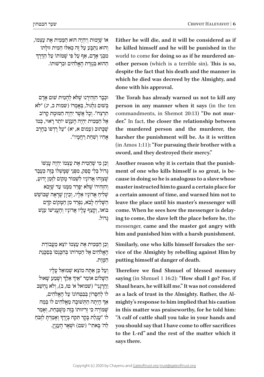ֹאוֹ שֵׁיָּמוּת וְיִהְיֶה הוּא הַמֵּמִית אֶת עַצְמוֹ, וְהוּא נִתְבָּע עַל זֶה כְּאִלּוּ הֵמִית זוּלְתוֹ<br>מִבְּנֵי אָדָם, אַף עַל פִּי שֶׁמּוֹתוֹ עַל הַדֶּרֶךְ הַהוּא בִּגְזֵרת הַאֱלֹהִים וּבְרִשׁוּתוֹ.

וּכְבָר הִזְהִירֵנוּ שֵׁלֹא לְהָמִית שׁוּם אָדָם בּשׁוּם גַּלְגוּל, בַּאמרוֹ (שמות כ, יג) "לֹא תִרְצָה". וְכָל אֲשֶׁר יְהָיֶה הַמּוּמַת קַרוֹב ֹאֶל הַמֵּמִית יִהְיֶה הָעָנֶשׁ יוֹתֵר רָאוּי, כְּמוֹ שַׁכֵּתוּב (עמום א, יא) "עַל רַדְפוֹ בַחֵרִב ׁ אָ חִ יו וְ ש ִ חֵ ת רַ חֲ מָ יו".

וְכֵן מִי שֶׁהֲמִית אֵת עַצְמוֹ יְהְיֶה עַנְשׁוֹ  $\epsilon$ גדוֹל בּלי ספק, מפּני שמשלו בּזה כּעַבד שׁצוּהוּ אדוֹניו לשׁמוֹר מקוֹם לזמן ידוּע, ֿוְהִזְהִירוֹ שֶׁלֹּא יִפְּרֵד מִמֶּנּוּ עַד שֶׁיָּבֹא שליח אדוניו אליו, וכיון שראה שבושש הַשָּׁלִיהַ לְבֹא, נִפְרַד מִן הַמְּקוֹם קֹדֶם בּוֹאוֹ, וְקָצַף עָלָיו אֲדוֹנָיו וְהֶעֱנִישׁוֹ עַנֶּשׁ ּג ֹ ָ דול.

ּ וְ כֵ ן הַ מ ֹ ֵ מִ ית אֶ ת עַ צְ מו ֹ יו ֹ צֵ א מֵ עֲ בודַ ת הָאֱלֹהִים אֱל הַמְרוֹתוֹ בְּהִכָּנִםוֹ בְּסַכֲנַת המות.

וְעַל כֵּן אַתַּה מוֹצֵא שָׁמוּאֵל עַלַיו ְֿרַשְׁלוֹם אוֹמֵר "אֵיךָ אֵלֵךְ וְשָׁמַע שָׁאוּל וַ וְהֵרֶנֶנְי" (שׁמואל א' טז, ב), וְלֹא נַחְשַׁב לוֹ לְחִסַּרוֹן בִּבְטְחוֹנוֹ עַל הַאֱלֹהִים, ְּ אַךְ הָיְתָה הַתְּשׁוּבָה מֵאֱלֹהִים לוֹ בְּמַה ְשׁמּוֹרָה כִּי זְרִיזוּתוֹ בֵּזֶה מְשָׁבַּחַת, וְאָמַר ָלוֹ "עֶגְלַת בְּקָר תִּקַח בְּיֶדֶךְ וְאָמַרְתָּ לִזְבֹּחַ לַה' בַּאתִי" (שם) וּשָׁאַר הַעָנְיָן.

Either he will die, and it will be considered as if he killed himself and he will be punished in the  **other person** (which is a terrible sin). This is so, world to come for doing so as if he murdered andespite the fact that his death and the manner in which he died was decreed by the Almighty, and done with his approval.

The Torah has already warned us not to kill any person in any manner when it says (in the ten der." In fact, the closer the relationship between commandments, in Shemot 20:13) "Do not murthe murdered person and the murderer, the harsher the punishment will be. As it is written (in Amos 1:11): "For pursuing their brother with a sword, and they destroyed their mercy."

cause in doing so he is analogous to a slave whose ment of one who kills himself is so great, is be-Another reason why it is certain that the punishmaster instructed him to guard a certain place for a certain amount of time, and warned him not to leave the place until his master's messenger will ing to come, the slave left the place before he, the come. When he sees how the messenger is delaymessenger, came and the master got angry with him and punished him with a harsh punishment.

**b** by rebelling against Him by Similarly, one who kills himself forsakes the serputting himself at danger of death.

**Therefore** we find Shmuel of blessed memory **saying** (in Shmuel 1 16:2): "How shall I go? For, if Shaul hears, he will kill me." It was not considered mighty's response to him implied that his caution as a lack of trust in the Almighty. Rather, the Alin this matter was praiseworthy, for he told him: "A calf of cattle shall you take in your hands and  **solution s** should say that I have come to offer sacrifices to the L-rd" and the rest of the matter which it says there.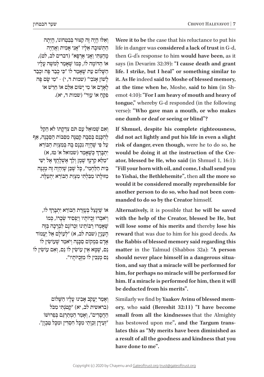וְאִלּוּ הָיָה זֶה קְצוּר בִּבְטְחוֹנוֹ, הָיִתָה הַ שׁוּבָה אֵלִיו ״אֵני אַמִית וַאֲחַיָּה ָמְתַיִנְי וַאֲנִי אֲרִפְּא" (דברים לב, לט), ֹאוֹ הַדוֹמֵה לוֹ, כִּמוֹ שֵׁאֲמַר לְמֹשֶׁה עַלִיו הַשַּׁלוֹם עַת שַׁאַמַר לוֹ ״כִּי כִבַד פֵּה וּכִבַד לְשׁוֹן אָנֹכִי" (שמות ד, י) - "מִי שָׂם פֶּה ֹ לָ אָ דָ ם או ׂ מִ י יָשּו ּ ם אִ ל ֹ ֵ ם או ׁ חֵ רֵ ש ֹ או ּפִ ק ֹ חַ או ִ ע ּוֵ ר" )שמות ד, יא(. ֵ

וְאִם שְׁמוּאֵל עם תֹּם צִדְקַתוֹ לֹא הֵקֵל לְהִכָּנֵם בְּסִבָּה קִטֲנָּה מִסְּבּוֹת הַסְּכֵּנָה, אַף ֿ עַל פִּי שֻׁהַיָה נִכְנַם בַּהּ בְּמִצְוַת הַבּוֹרֵא ְיִתְבָּרֵךְ כְּשֶׁאָמַר (שמואל א' טז, א) ָיַטַ קַרְנְךָ שֶׁמֶן וְלֵךְ אֶשְׁלָחֲדָ אֶל יִשַׁי" ָ $\epsilon$ בִּית הַלַּחְמִי", כַּל שֵׁכֵּן שֵׁיהָיֶה זֶה מְגַנֵּה  $\alpha$ מוּלתו מִבְלְתֵי מִצְוַת הַבּוֹרֵא יְתִעֲלֶה.

ְֹאוֹ שֶׁיִּנְצֵל בְּעֶזְרַת הַבּוֹרֵא יִתְבָּרֵךְ לוֹ, וְיֹאבְדוּ זְכְיּוֹתֵיו וְיַפְסִיד שְׂכָרוֹ, כְּמוֹ שְׁאֲמְרוּ רַבּוֹתֵינוּ זִכְרוֹנָם לִבְרַכָה בְּזֶה הַעָנְיֵ (שבת לב, א) "לְעוֹלַם אֵל יַעֲמוֹד ֹאֲדָם בִּמְקוֹם סַכֲנָה וְיֹאמֵר שֵׁעוֹשִׂין לוֹ **נם, שמא אין עוֹשׂין לו נם, ואם עוֹשׂין לו** ּ נֵ ס מְ נַ כ ֹ ִ ין לו ּ מִ ז ּ ְכֻ יֹותָ יו".

וְ אָמַר יַעֲקֹב אָבִינוּ עָלָיו הַשָּׁלוֹם (בראשית לב, יא) "קְטֹנְתִּי מִכֹּל הַחֲסַדִים", וְאָמֵר הַמְתַרְגֶם בְּפֵרוּשׁוֹ ּ "זְעֵ ירָ ן זַכְ וָ תַ י מִ כ ּ ָ ל חִ סְ ד ּ ִ ין ו ּמִ כָ ל טַ בְ וָ ן". Were it to be the case that his reluctance to put his life in danger was considered a lack of trust in G-d, then G-d's response to him would have been, as it says (in Devarim 32:39): "I cause death and grant life. I strike, but I heal" or something similar to it. As He indeed said to Moshe of blessed memory, **emot 4:10): "For I am heavy of mouth and heavy of** at the time when he, Moshe, said to him (in Shtongue," whereby G-d responded (in the following verse): "Who gave man a mouth, or who makes one dumb or deaf or seeing or blind"?

If Shmuel, despite his complete righteousness, did not act lightly and put his life in even a slight **risk** of danger, even though, were he to do so, he ator, blessed be He, who said (in Shmuel 1, 16:1): would be doing it at the instruction of the Cre-"Fill your horn with oil, and come, I shall send you to Yishai, the Bethlehemite", then all the more so would it be considered morally reprehensible for another person to do so, who had not been com-<br>manded to do so by the Creator himself.

Alternatively, it is possible that he will be saved with the help of the Creator, blessed be He, but will lose some of his merits and thereby lose his reward that was due to him for his good deeds. As the Rabbis of blessed memory said regarding this matter in the Talmud (Shabbos 32a): "A person tion, and say that a miracle will be performed for should never place himself in a dangerous situahim, for perhaps no miracle will be performed for him. If a miracle is performed for him, then it will **be deducted from his merits".** 

ory, who said (Bereshit 32:11) "I have become Similarly we find by Yaakov Avinu of blessed memsmall from all the kindnesses that the Almighty lates this as "My merits have been diminished as has bestowed upon me", and the Targum transa result of all the goodness and kindness that you have done to me".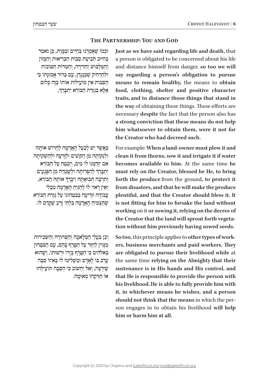# **THE PARTNERSHIP: YOU AND GOD**

וּכְמוֹ שֶׁאָמַרְנוּ בַּחַיִּים וּבַמְּוֶת, כֵּן נֹאמַר בְּהִיּוּב תְּבִיעַת סִבּוֹת הַבְּרִיאוּת וְהַמָּזוֹן וְהַמַּלְבּוּשׁ וְהַדִּירָה, וְהַמְּדוֹת הַמּוֹבוֹת וּלְהַרְחִיק שֵׁכְּגְ**יָדֶן, עָם בֵּרוּר אֱמוּנָתוֹ** כִּי הַסִּבּוֹת אֵין מוֹעָילוֹת אוֹתוֹ בְּזֶה כְּלוּם ּאֶלְא בִּגְזֵרת הַבּוֹרֵא יִתְבְּרֵךְ, ְ

ָ כַּאֲשֶׁר יֵשׁ לְבַעַל הַאֲדַמָה לַחֲרוֹשׁ אוֹתָה ּו ּלְ נַ קֹו ּתָ ה ּ מִ ן הַ קֹו ּ צִ ים ו ּ לְ זָרְ עָ ה ּ ו ׁ לְ הַ ש ְֹ קו ּתָ ה  $\kappa$ ם יזדמנוּ לוֹ מים, ויבמח על הבּוֹרא ְיִתְבְּרֵךְ לְהַפְרוֹתָהּ וּלְשָׁמְרָהּ מִן הַפְּגָעִים ְוְתִרְבֶּה תְּבוּאָתָהּ וִיבְרֵךְ אוֹתָה הַבּוֹרֵא, וֹאין רֹאוּי לוֹ לִהְנֵיח הָאֲדְמָה מִבְּלִי ֿעֲבוֹדָה וּזְרִיעָה בְּבִטְחוֹנוֹ עַל גְּזֵרַת הַבּוֹרֵא ְשֶׁתַּצְמִיהַ הָאֲדָמָה בִּלְתִּי זֶרַע שֶׁקְּדַם לו.

וְכֵן בַּעֲלֵי הַמְּלַאכָה וְהַסְחוֹרָה וְהַשְּׂכִירוּת מִצוּין לחזר על המרף בהם, עם הבּמַחוֹן בֵּאלֹהִים כִּי הַמֲרֵף בְּיַדוֹ וּרְשׁוּתוֹ, וְשֶׁהוּא ֹ עָ רֵ ב בּ ו ּ לָ אָ דָ ם ו ׁמַ ש ְֹ לִ ימו ֹ לו ֹ בְּ אֵ יזו סִ בָּ ה שִׁיִּרְצֶה, וְאֵל יַחְשׁוֹב כִּי הַסְּבָּה תּוֹעָילֵהוּ ֹאו ּ תַּ ז ֵ ִיק ּהו ּ מְ אומָ ה. **Just as we have said regarding life and death, that** a person is obligated to be concerned about his life and distance himself from danger, so too we will say regarding a person's obligation to pursue means to remain healthy, the means to obtain food, clothing, shelter and positive character traits, and to distance those things that stand in the way of obtaining these things. These efforts are has also has also has also has the fact that the person also has a strong conviction that these means do not help him whatsoever to obtain them, were it not for the Creator who had decreed such.

For example: When a land-owner must plow it and clean it from thorns, sow it and irrigate it if water **hecomes** available to him. At the same time he must rely on the Creator, blessed be He, to bring forth the produce from the ground, to protect it from disasters, and that he will make the produce plentiful, and that the Creator should bless it. It is not fitting for him to forsake the land without **working** on it or sowing it, relying on the decree of tion without him previously having sowed seeds. the Creator that the land will sprout forth vegeta-

ers, business merchants and paid workers. They **So too**, this principle applies to other types of workare obligated to pursue their livelihood while at the same time relying on the Almighty that their sustenance is in His hands and His control, and that He is responsible to provide the person with his livelihood. He is able to fully provide him with it, in whichever means he wishes, and a person son engages in to obtain his livelihood will help should not think that the means in which the perhim or harm him at all.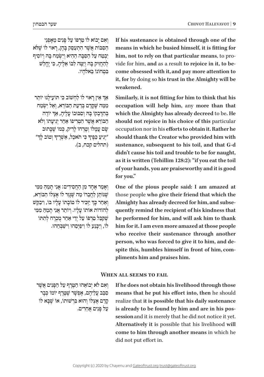וְ אִם יָבוֹא לו טַרְפּוֹ עַל פְּנִים מֵאֵפְנֵי ּהַ ס ֹ ִ בּ ו ׁ ת אֲ ש ֶּ ר הִ תְ עַ ס ֵּ ק בָּ הֶ ן, רָ או ֹ י לו ׁ ש ֶּ לֹא יִבְטֵח עַל הַסַּבָּה הַהִיא וְיִשְׂמַח בַּהּ וְיוֹסִיף לְהַחֲזִיק בָּהּ וְיַמֵּה לִבּוֹ אֵלֵיהָ, כִּי יֵחֲלַשׁ בִּמְחוֹנוֹ בֵּאלֹהָיו.

ְּ אֵין רָאוי לוֹ לַחְשׁוֹב כִּי תּוֹעָילֶנּוּ יוֹתֵר ּמִמַּה שֶׁקְרַם בְּדַעַת הַבּוֹרֵא, וְאַל יִשְׂמַח ְבְּהִדָּבְקוֹ בָּהּ וְסִבּוּבוֹ עָלֶיהָ, אַדְ יוֹדֶה ֹהַ בּ ו ׁ רֵ א אֲ ש ֶֹ ר הִ טְ רִ יפו ֹ אַ חַ ר יְגִ יעָ תו וְ לֹא שם עמלו וטרחו לריק, כמו שכתוב יְגִיעַ כַּפֶּיךָ כִי תֹאכֵל, אַשְׁרֶיךָ וְטוֹב לְךָ״ ָָ)תהלים קכח, ב(.

וְאָמַר אֶחָד מִן הַחֲסִידִים: אֲנִי תַמֵּהַ מִמִּי ׁשּ ֶ נֹו ֹ תֵ ן לַ חֲ בֵ רו ּׁ מַ ה שּ ֶ ג ֹ ָ זַר לו ֹ אֶ צְ לו ֹ הַ בּ ורֵ א, וְאַחַר כְּךְ יַזְכִיר לוֹ טוֹבָתוֹ עָלְיו בּוֹ, וִיבַקֵּשׁ ׇ֦֧֧֧֖֖֖֧֚֚֚֝֬֝֬֓֓֕֓֡֓֬֓֓֕֓֬֓<u>֓</u> להוֹדוֹת אוֹתוֹ עַלִיו. וִיוֹתְר אֵנִי תִמַה ִמְמֵי ְשֶׁקִּבֵּל טַרְפּוֹ עַל יְדֵי אַחֵר טֻבְרָח לְתִתּוֹ ֹלוֹ, וִיכּנַע לוֹ וִיפִּיִּסְהוּ וִישַׁבְּחָהוּ. If his sustenance is obtained through one of the means in which he busied himself, it is fitting for come obsessed with it, and pay more attention to vide for him, and as a result to rejoice in it, to behim, not to rely on that particular means, to proit, for by doing so his trust in the Almighty will be **.weakened**

**Similarly, it is not fitting for him to think that his occupation** will help him, any more than that which the Almighty has already decreed to be. He should not rejoice in his choice of this particular occupation nor in his efforts to obtain it. Rather he should thank the Creator who provided him with sustenance, subsequent to his toil, and that G-d didn't cause his toil and trouble to be for naught, as it is written (Tehillim 128:2): "if you eat the toil of your hands, you are praiseworthy and it is good for you."

One of the pious people said: I am amazed at those people who give their friend that which the quently remind the recipient of his kindness that Almighty has already decreed for him, and subsehe performed for him, and will ask him to thank him for it. I am even more amazed at those people who receive their sustenance through another spite this, humbles himself in front of him, compliments him and praises him. person, who was forced to give it to him, and despite this, humbles himself in front of him, comperson, who was forced to give it to him, and de-

# **WHEN ALL SEEMS TO FAIL**

וְאִם לֹא יְבוֹאֵהוּ הַמֲרֵף עַל הַפְּנִים אֲשֶׁר ִסְבֵּב עֲלֵיהֶם, אֶפְשָׁר שֵׁטֱרֶף יוֹמוֹ כִּבָר ַקְרַם אֱצְלוֹ וְהוּא בְּרְשׁוּתוֹ, אוֹ שֶׁבָּא לוֹ עַל פַּנִים אַחרים. If he does not obtain his livelihood through those means that he put his effort into, then he should realize that it is possible that his daily sustenance session and it is merely that he did not notice it yet. is already to be found by him and are in his pos-**Alternatively** it is possible that his livelihood will come to him through another means in which he did not put effort in.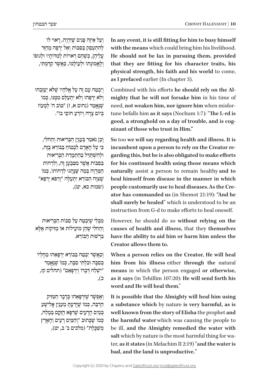ׁ וְ עַ ל אֵ יזֶה פָּ נִ ים שּ ֶ י ּ ִהְ יֶה, רָ או ֹ י לו לְהִתְעָםֵק בַּפְבּוֹת וְאֵל יַרְפֵּה מֵחַזֵּר עֲלֵיהֶן, כִּשֶׁהֶם רָאוּיוֹת לְמִדּוֹתֵיו וּלְגוּפוֹ וְלֵאֲמוּנַתוֹ וּלְעוֹלַמוֹ, כַּאֲשֶׁר קַדַּמְתִּי,

וְיִבְטֵה עָם זֶה עַל אֱלֹהֵיו שֵׁלֹּא יַעַזְבָהוּ וְלֹא יַרְפָּהוּ וְלֹא יִתְעַלֵּם מִמְּנּוּ, כְּמוֹ שִׁנֵאֲמֵר (נחום א, ז) "טוֹב ה' לְמֵעוֹז בְּיוֹם צָרָה וְיוֹדָעַ חוֹםֵי בוֹ".

וְכֵן נֹאמַר בְּעָנְיַן הַבְּרִיאוּת וְהַחֹלִי, ּכּי עַל האדם לבטוח בּבּוֹרא בּזה, ּו ׁ לְ הִ ש ְּ ת ַּ ד ּ ֵ ל בְּ הַ תְ מָ דַ ת הַ בְּ רִ יאות ּבַּפְבּוֹת אֲשֶׁר מִמְּבְעָן זֶה, וְלִדְחוֹת הַמַּדְוֶה בְּמַה שֵׁנַּהֲגוּ לִדְחוֹתוֹ, כְּמוֹ ׁש ּ ֶ צ ּ ִ ו ֹ ָ ה הַ בּ ו ּ רֵ א יִתְ עַ לֶ ה "וְ רַ פּ ֹא יְרַ פֵּ א" )שמות כא, יט(,

מִבְּלִי שֵׁיִּבְטֵה עַל סִבּוֹת הַבְּרִיאוּת וְהַהֹלִי שֶׁהֵן מוֹעַילוֹת אוֹ מַזִּיקוֹת אֵלָּא בִרְשׁוּת הַבּוֹרָא.

וְכַאֲשֶׁר יִבְטֵה בַּבּוֹרָא יְרִפְּאֶהוּ מֵחֲלִיוֹ בִּםְבָה וּבְלִתִּי סִבְּה, כִּמוֹ שֵׁנֵאָמֵר ׁ "יִש ּ ְ לַ ח ד ֹ ְ בָ רו וְ יִרְ פָּ אֵ ם" )תהלים קז, כ(,

ׁ וְ אֶ פְ ש ׁ ָ ר שּ ֶ י ּ ִרְ פָּ אֵ הו ּ בְּ דָ בָ ר הַ מ ַּ זִיק ּ הַרְבָּה, כִּמוֹ שֵׁיַדַעָתַּ מֵעָנְיַן אֱלִישַׁע בְּמַיִם הַרַעִים שֵׁרִפְּא הֶזֶקֶם בְּמֶלַח, כִּמוֹ שֵׁכָּתוּב "וְהַמַּיִם רָעִים וְהָאָרֶץ מְשַׁכַּלֵת" (מלכים ב' ב, יט),

In any event, it is still fitting for him to busy himself with the means which could bring him his livelihood. He should not be lax in pursuing them, provided that they are fitting for his character traits, his physical strength, his faith and his world to come, as I prefaced earlier (In chapter 3).

mighty that he will not forsake him in his time of Combined with his efforts he should rely on the Al- $\tan \theta$  befalls him as it says (Nochum 1:7): "The L-rd is need, not weaken him, nor ignore him when misforgood, a stronghold on a day of trouble, and is cognizant of those who trust in Him."

So too we will say regarding health and illness. It is garding this, but he is also obligated to make efforts incumbent upon a person to rely on the Creator refor his continued health using those means which naturally assist a person to remain healthy and to heal himself from disease in the manner in which ator has commanded us (in Shemot 21:19): "And he people customarily use to heal diseases. As the Creshall surely be healed" which is understood to be an instruction from G-d to make efforts to heal oneself.

However, he should do so without relying on the causes of health and illness, that they themselves have the ability to aid him or harm him unless the **Creator allows them to.** 

When a person relies on the Creator, He will heal him from his illness either through the natural means in which the person engaged or otherwise,  **has it says** (in Tehillim 107:20): He will send forth his word and He will heal them."

It is possible that the Almighty will heal him using a substance which by nature is very harmful, as is well known from the story of Elisha the prophet and the harmful water which was causing the people to be ill, and the Almighty remedied the water with  **is the andaly is the andaly in Melachim II 2:19) "and the water is**  $\frac{d}{dx}$ salt which by nature is the most harmful thing for wabad, and the land is unproductive."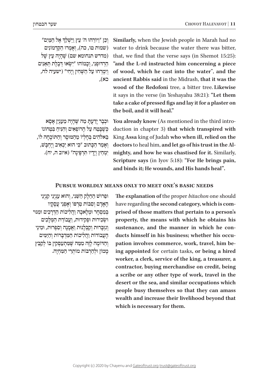| וִכֵן "וַיּוֹרֵהוּ ה' עֵץ וַיַּשְׁלֵךְ אֵל הַמַּיִם"  |
|-------------------------------------------------------|
| (שמות טו, כה), וְאָמְרוּ הַקַּדְמוֹנִים               |
| (מדרש תנחומא שם) שֵׁהָיָה עֵץ שֵׁל                    |
| הַרְדוּפְנִי, וְכָמוֹהוּ "יְשָׂאוּ דְּבָלֶת תְּאֲנִים |
| וְיִמְרְחוּ עַל הַשְּׁחִין וְיֶחִי" (ישעיה לח,        |
| כא),                                                  |

וּכִבָר יָדַעָתָ מַה **שֵׁהָיָה מֵעָנְיַן אָסָא**  $\,$ כשבמה על הרופאים והניח במחונו בֵּאלֹהִים בְּחַלִיוֹ מִהְמּוּסֵר וְהַתּוֹכחה לוֹ, ּ וְ אָ מַ ר הַ כ ּ ָ תו ּ ב "כ ִּ י הו ׁ א יַכְ אִ יב וְ יֶחְ בָּ ש, ּ יִמְ חַ ץ וְ יָדָ יו ת ִ רְ פֶּ ינָ ה" )איוב ה, יח(.

Similarly, when the Jewish people in Marah had no water to drink because the water there was bitter, that, we find that the verse says (in Shemot  $15:25$ ): "and the L-rd instructed him concerning a piece of wood, which he cast into the water", and the ancient Rabbis said in the Midrash, that it was the wood of the Redofoni tree, a bitter tree. Likewise it says in the verse (in Yeshayahu 38:21): "Let them take a cake of pressed figs and lay it for a plaster on the boil, and it will heal."

duction in chapter 3) that which transpired with You already know (As mentioned in the third intro-King Assa king of Judah who when ill, relied on the mighty, and how he was chastised for it. Similarly, doctors to heal him, and let go of his trust in the Al-**Scripture says** (in Iyov 5:18): "For He brings pain, and binds it; He wounds, and His hands heal".

# **PURSUE WORLDLY MEANS ONLY TO MEET ONE'S BASIC NEEDS**

ּו ּ פֵ רו ׁש ּׁ הַ חֵ לֶ ק הַ ש ּ ֵ נִ י, וְ הו ִא ע ִ נְ יְנֵ י קנְ יְנֵ י ֹ הָ אָ דָ ם וְ סִ בּ ו ֹ ת טַ רְ פּ ו ָ וְ אָ פְ נֵ י עֲ סָ קיו בּמִםחר וּמלֹאכה והליכות הדרכים וּמִנּוּי וּשָׂכִירוּת וּפִקִידוּת, וַעֲבוֹדַת הַמְּלַכִים וְ גִזְבָרוּת וְקַבְלַנוּת וַאֲמֶנָה וְסִפְרוּת, וּמִינֵי ֹהַעֲבוֹדוֹת וַהֲלִיכוֹת הַמְּדִבְרוֹת וְהַיַּמִּים וְהַדוֹמֶה לְזֶה מִמַּה שֶׁמִתְעַסְקִין בּוֹ לְקַבֵּץ ממוֹן וּלִהרבּוֹת מוֹתרי המחיה. The explanation of the proper *bitachon* one should prised of those matters that pertain to a person's have regarding the second category, which is comproperty, the means with which he obtains his ing appointed for certain tasks, or being a hired pation involves commerce, work, travel, him beducts himself in his business: whether his occusustenance, and the manner in which he conworker, a clerk, service of the king, a treasurer, a contractor, buying merchandise on credit, being a scribe or any other type of work, travel in the desert or the sea, and similar occupations which people busy themselves so that they can amass wealth and increase their livelihood beyond that which is necessary for them.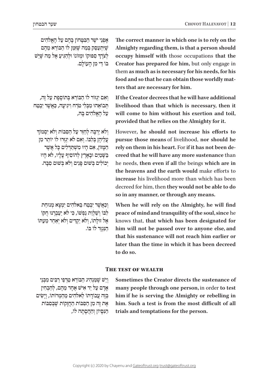אָפְנֵי יֹשֶׁר הַבְּטָּחוֹן בָּהֶם עַל הַאֲלֹהִים שִׁיְּתְעַםֵּק בְּמֵה שֵׁזְּמֵן לו הַבּוֹרֵא מֵהֶם ְלְצֹרֶךְ סִפּוּקוֹ וּמְזוֹנוֹ וּלְהַגִּיעַ אֶל מַה שֶׁיֵּשׁ בּוֹ דֵי מִן הַעוֹלַם.

וְאִם יְגְזוֹר לוֹ הַבּוֹרֵא בְּתוֹסֵפֶּת עַל זֶה, תְּבוֹאָהוּ מִבְּלִי טֹרַח וְיגִיעַה, כַּאֲשֶׁר יָבְטַח על האלהים בה,

ְ וְלֹא יִרְבֵה לְחזֵר עַל הַסְּבּוֹת וְלֹא יִסְמוֹךְ ֿ עַלִיהן בּלבּו. וֹאָם לֹאַ יְגזְרוּ לוֹ יוֹתֵר מֵן המּזוֹן, אם היו משתדלים כל אשר  $\epsilon$ בּשׁמים וּבארץ להוסיף עליו, לֹא היו יכוֹלים בּשׁוּם פּּנים ולֹא בּשׁוּם סִבּה.

וְכַאֲשֶׁר יִבְטֵה בֵּאלֹהִים יְמִצָא מְנוּחַת לִבּוֹ וְשָׁלְוַת נַפְשׁוֹ, כִּי לֹא יַעַבְרְנּוּ חִקּוֹ אֵל זוּלַתוֹ, וְלֹא יַקְדִים וְלֹא יִאַחֵר מֵעָתּוֹ הַנְגְזֵר לוֹ בּוֹ. The correct manner in which one is to rely on the Almighty regarding them, is that a person should **occupy** himself with those occupations that the Creator has prepared for him, but only engage in them as much as is necessary for his needs, for his food and so that he can obtain those worldly matters that are necessary for him.

If the Creator decrees that he will have additional livelihood than that which is necessary, then it will come to him without his exertion and toil, provided that he relies on the Almighty for it.

However, he should not increase his efforts to pursue those means of livelihood, nor should he creed that he will have any more sustenance than rely on them in his heart. For if it has not been dehe needs, then even if all the beings which are in the heavens and the earth would make efforts to increase his livelihood more than which has been decreed for him, then they would not be able to do so in any manner, or through any means.

When he will rely on the Almighty, he will find **peace** of mind and tranquility of the soul, since he knows that, that which has been designated for him will not be passed over to anyone else, and that his sustenance will not reach him earlier or later than the time in which it has been decreed to do so.

# **THE TEST OF WEALTH**

ׁ וְ יֵש ׁ ש ּ ֶ מ ֹ ַ נְ הִ יג הַ בּ ורֵ א טַ רְ פֵ י רַ בִּ ים מִ בְּ נֵ י ׁ אָ דָ ם עַ ל יַד אִ יש אֶ חָ ד מֵ הֶ ם, לְ הַ בְ חִ ין בְּזֶה עֲבוֹדַתוֹ לֵאלֹהִים מֵהַמְרוֹתוֹ, וְיָשִׂים  $\kappa$ ת זֶה מֵן הַסְּבּוֹת הַחֲזַקוֹת שַׁבְּסְבּוֹת הּנִפּיוֹן וההסתה לוֹ, **Sometimes the Creator directs the sustenance of** many people through one person, in order to test him if he is serving the Almighty or rebelling in him. Such a test is from the most difficult of all trials and temptations for the person.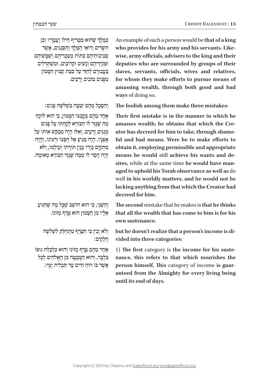ְכְּמֶלֶךְ שֶׁהוּא מַטְרִיף חֵילוֹ וַעֲבְדָיו וְכֵן ְהַשְּׂרִים וְרוֹאֵי הַמֶּלֶךְ וְהַםְּנְיִם, אֲשֶׁר סְבִיבוֹתִיהֶם כִּתּוֹת מֵעֲבְדִיהֶם וְשָׁמֵשִׁיהֶם וּפְקִידִיהֶם וְנַשִׁים וּקָרוֹבִים, וּמִשְׁתַּדְלִים בַּעֲבוּרַם לְחֵזֵר עַל סִבַּת קִבּוּץ הַמֵּמוֹן ֹ מִ פָּ נִ ים טו ִ בִ ים וְ רָ עים.

ּ וְ הַ ס ׁ ָ כָ ל מֵ הֶ ם יִטְ עֶ ה בִּ שְ לֹשָׁ ה פָ נִ ים:

ְאֶחָד מֶהֶם בְּקַבְצוֹ הַמֲּמוֹן, כִּי הוּא לוֹקֵחַ מה שׁגּור לו הבורא לקחתו על פּנים מְגִיִּם וְרָעִים. וְאִלּוּ הָיָה מְבַקֵּשׁ אוֹתוֹ עַל אָפּניו, היה מגיע אל חפצו וּרצוֹנו, והיה ַמְתִקַיֵּם בְּיָדוֹ עָנְיַן תּוֹרַתוֹ וְעוֹלַמוֹ, וְלֹא ָהיה חסר לו ממה שׁגּזר הבּוֹרא מאומה.

וְהַשֶּׁנִי, כִּי הוּא חוֹשֵׁב שֵׁכָּל מַה שֵׁהְגִּיעַ ּ אֵ לָ יו מִ ן הַ מ ֹ ָ מו ּ ן הו ֹ א טֶ רֶ ף מְ זו ֹנו.

וְלֹא יָבִין כִּי הַמֱרֵף מְתִחַלֵ*ק לְשָׁלֹשֶׁה* ִחֲ לָ קים:

ֹאֶחָד מֶהֶם מֱרֶף מְזוֹנוֹ וְהוּא כַּלְכַּלַת גּוּפוֹ  $\epsilon$ בְּלִבָר, וְהוּא הַמִּבְטֵח מִן הַאֱלֹהִים לְכַל אַשר בּוֹ רוּח חיים עד תּכלית ימיו. An example of such a person would be that of a king wise, army officials, advisers to the king and their who provides for his army and his servants. Likedeputies who are surrounded by groups of their slaves, servants, officials, wives and relatives, for whom they make efforts to pursue means of amassing wealth, through both good and bad **ways** of doing so.

The foolish among them make three mistakes:

Their first mistake is in the manner in which he ator has decreed for him to take, through shame-<br>ful-and-bad means. Were he-to-make efforts to amasses wealth; he obtains that which the Creator has decreed for him to take, through shameamasses wealth: he obtains that which the Creobtain it, employing permissible and appropriate aged to uphold his Torah observance as well as do sires, while at the same time he would have manmeans he would still achieve his wants and dewell in his worldly matters, and he would not be lacking anything from that which the Creator had decreed for him.

The second mistake that he makes is that he thinks that all the wealth that has come to him is for his own sustenance,

but he doesn't realize that a person's income is di-<br>vided into three categories:

nance, this refers to that which nourishes the **1)** The first category is the income for his susteanteed from the Almighty for every living being **person himself.** This category of income is guar**until its end of days.**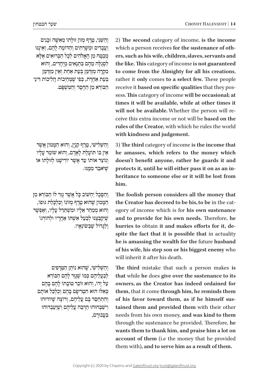וְהַשֵּׁנֵי, טֵרֵף מְזוֹן זוּלַתוֹ מֵאֵשָּׁה וּבָנִים <u>וַעֲבָ</u>דִים וּמְשַׁרְתִים וְהַדּוֹמֶה לָהֶם, וְאֵינֶנּוּ מִבְטֵח מֵן הַאֲלֹהִים לְכָל הַבְּרוּאִים אֵלֵא ּ לִ סְ גֻ ל ּ ָ ה מֵ הֶ ם בִּ תְ נָ אִ ים מְ יֻחָ דִ ים, וְ הוא מִקְרֵה מִזְדַמֵּן בְּעֵת אַחַת וְאֵין מִזְדַמֵּן בְּעֵת אַחֱרֶת, כִּפִי שֵׁמְחַיִּבוֹת הֲלִיכוֹת דִינֵי ֹהַ בּ ו ּ רֵ א מִ ן הַ חֶ סֶ ד וְ הַ מ ִׁ שְ פָּ ט.

וְהַשָּׁלִישִׁי, טֱרֶף קִנְיַן, וְהוּא הַמֵּמוֹן אֲשֶׁר אֵין בּוֹ תּוֹעָלָת לַאֲדָם, וְהוּא שׁוֹמֵר עַלָיו וְנוֹצֵר אוֹתוֹ עַד אֲשֵׁר יוֹרִישֵׁנּוּ לְזוּלַתוֹ אוֹ ׁשּ ֶ יֹ ּ אבַ ד מִ מ ֶּ נּו.

והסכל יחשוב כל אשר גזר לו הבורא מן ָ הִמְמוֹן שַׁהוּא טרף מזוֹנוֹ וכלכלת גּוּפוֹ, וְהוּא מִמַּהֵר אֵלֵיו וּמִשְׁתַּדֵל עָלָיו, וְאֵפְשֶׁר ֿשֵׁיִּקִבְּצֵנּוּ לְבָעַל אָשָׁתוֹ אַ<u>חֲר</u>ִיו וּלְהוֹרְגוֹ ּ וְ לַ ג ֹ ָ דו ׁ ל ש ֶׂ בְּ שֹונְ אָ יו.

וְהַשְׁלִישִׁי, שֵׁהוּא נוֹתֵן הַטְּרָפִים לְבַעֲלִיהֶם כְּמוֹ שַׁגַּוֵר לָהֶם הַבּוֹרָא ֿעַל יָדוֹ, וְהוּא זוֹכֵר טוֹבָתוֹ לָהֶם בָּהֶם ּכְאִלוּ הוּא הִטְרִיפַּם בַּהֶם וְכָלְכֵל אוֹתָם וְהִתְחַםֵּר בַּם עֲלֵיהֶם, וְרוֹצֶה שֵׁיּוֹדוּהוּ וְישַׁבְחוּהוּ הַרְבָה עֲלֵיהֶם וְשֵׁיַעַבְדוּהוּ בַעֲבוּרַם, 2) The second category of income, is the income ers, such as his wife, children, slaves, servants and which a person receives for the sustenance of oth**the like. This category of income is not guaranteed** to come from the Almighty for all his creations, rather it only comes to a select few. These people sess. This category of income will be occasional; at receive it **based** on specific qualities that they postimes it will be available, while at other times it ceive this extra income or not will be **based** on the will not be available. Whether the person will rerules of the Creator, with which he rules the world with kindness and judgement.

**8 that income is the income that** he amasses, which refers to the money which doesn't benefit anyone, rather he guards it and protects it, until he will either pass it on as an in-<br>heritance to someone else or it will be lost from  **.him**

The foolish person considers all the money that egory of income which is for his own sustenance the Creator has decreed to be his, to be in the catand to provide for his own needs. Therefore, he spite the fact that it is possible that in actuality **hurries** to obtain it and makes efforts for it, dehe is amassing the wealth for the future husband of his wife, his step son or his biggest enemy who will inherit it after his death.

The third mistake that such a person makes is  **its that** while he does give over the sustenance to its *e* **owners, as the Creator has indeed ordained for them, that it come through him, he reminds them** tained them and provided them with their other of his favor toward them, as if he himself susneeds from his own money, and was kind to them through the sustenance he provided. Therefore, he wants them to thank him, and praise him a lot on account of them (*i.e. the money that he provided* them with), and to serve him as a result of them.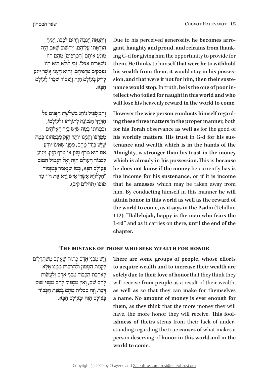וְיִתְגָּאֵה וְיִגְבַּה וְיָרוּם לְבָבוֹ, וְיַנִּיחַ ֹהו ֹ דָ אָ תו ׁ עֲ לֵ יהֶ ם, וְ יַחְ שֹו ׁ ב שֶ אִ ם הָ יָה ֹמוֹנֵעַ אוֹתָם [הַטְרַפִּים] מֶהֶם הָיוּ ׁנִ ש ֹ ְ אָ רִ ים אֶ צְ לו ּ , וְ כִ י לו ּ לֵ א הו ּ א הָ יו נִפְסָקִים טַרְפֵיהֶם. וְהוּא הֶעָנִי אֲשֶׁר יִיגַע ֹלָרִיק בָּעוֹלָם הַזֶּה וְיַפְּסִיד שִּׂבָרוֹ לָעוֹלָם

וְהַמַּשְׂכִּיל נוֹהֶג בִּשְׁלֹשֵׁת הַפְּנִים עַל

הַדֶּרֶךְ הַנְּכוֹנָה לְתוֹרָתוֹ וּלְעוֹלָמוֹ, וּבמַחוֹנוֹ בְּמֵה שֵׁיֵּשׁ בְּיַד הַאֲלֹהִים מִטֵּרִפּוֹ וְקָנְיֵנוֹ יוֹתֵר חַזֵּק מִבְּטְחוֹנוֹ בְּמֵה ּׁשּ ֶ י ׁ ֵש ֹ בְּ יָדו ׁ מֵ הֶ ם, מִ פְּ נֵ י ש ֶֹ אֵ ינו ֹ יודֵ עַ ּ אִ ם הו ֹ א טֶ רֶ ף מָ זו ֹ ן או ִ טֶ רֶ ף ק ּ נְ יָן, וְ יַגִ יעַ ֹלְכְבוֹד הַעוֹלַם הַזָּה וְאֵל הַגְּמוּל הַטּוֹב ְבַּעוֹלַם הַבָּא, כִּמוֹ שֵׁנֵּאֲמֵר בִּמְזְמוֹר הַלְלוּיַה אַשָׁרי אֵישׁ יַרָא אֶת ה'" עַד"

הַ בָּ א.

ְ

םוֹפוֹ (תהלים קיב).

**ing** G-d for giving him the opportunity to provide for gant, haughty and proud, and refrains from thank-Due to his perceived generosity, he becomes arro $t$  them. He thinks to himself that were he to withhold  $t$ ellect who toiled for naught in this world and who **in ance would stop.** In truth, he is the one of poor insion, and that were it not for him, then their sustehis wealth from them, it would stay in his posseswill lose his heavenly reward in the world to come.

ing these three matters in the proper manner, both However the wise person conducts himself regardfor his Torah observance as well as for the good of tenance and wealth which is in the hands of the his worldly matters. His trust in G-d for his sus-Almighty, is stronger than his trust in the money which is already in his possession. This is because he does not know if the money he currently has is the income for his sustenance, or if it is income that he amasses which may be taken away from him. By conducting himself in this manner he will attain honor in this world as well as the reward of the world to come, as it says in the Psalm (Tehillim 112): "Hallelujah, happy is the man who fears the *L***-rd" and as it carries on there, until the end of the .chapter**

**THE MISTAKE OF THOSE WHO SEEK WEALTH FOR HONOR** 

וִישׁ מִבּני אדם כּתּוֹת שׁאינם משתדלים לְקְנוֹת הַמֲמוֹן וּלְהַרְבּוֹת מְמֶנּוּ אֶלָּא ּ לְ אַ הֲ בַ ת הַ כ ֹ ָ בו ׂ ד מִ בְּ נֵ י אָ דָ ם וְ לַ עֲ שֹות לָהֶם שֵׁם, וְאֵין מַסְפִּיק לָהֶם מִמֵּנּוּ שׁוּם ּד ּ ָ בָ ר. וְ זֶה סִ כְ לו ּ ת מֵ הֶ ם בְּ סִ בַּ ת הַ כ ֹ ָ בוד בּעוֹלם הזה וּבעוֹלם הבּא.

There are some groups of people, whose efforts to acquire wealth and to increase their wealth are solely due to their love of honor that they think they will receive from people as a result of their wealth, as well as so that they can make for themselves a name. No amount of money is ever enough for them, as they think that the more money they will standing regarding the true causes of what makes a ishness of theirs stems from their lack of underhave, the more honor they will receive. This foolperson deserving of honor in this world and in the world to come.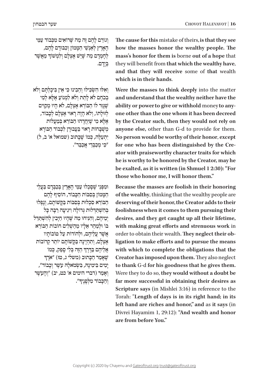וְגוֹרֵם לָהֶם זֶה מַה שֵׁרוֹאִים מִכְּבוֹד עַמֵּי ׁ הָ אָ רֶ ץ לְ אַ נְ ש ּ ֵ י הַ מ ָֹ מו ּ ן וְ כִ בּ ודָ ם לָ הֶ ם, ְלְחָמְדָם מַה שֶׁיֵּשׁ אֶצְלָם וְלִמְשׁוֹךְ מֵאֲשֶׁר בְּ יָדָ ם.

ּ וְ אִ ל ּו ׂ הִ ש ּ ְ כ ִּ ילו ּ וְ הֵ בִ ינו ּ כ ִּ י אֵ ין בִּ יכָ לְ תָ ם וְ לֹא בְרַם לֹא לְחֵת וְלֹא לִמְנוֹעַ אֶלָּא לְמִי שׁגּזר לו הבּוֹרא אצלם, לֹא היוּ מקוים לְזוּלַתוֹ, וְלֹא הָיָה רֵאוּי אֵצְלָם לְכָבוֹד,  $\kappa$ אלא מי שִׁיחֲדַהוּ הַבּוֹרֵא בְּמֵעֲלוֹת משבחות ראוי בעבורן לכבוד הבורא יִתְעֲלֶה, כְּמוֹ שֵׁכֵּתוּב (שמואל א' ב, ל) ּ"כ ִ י מְ כַ בְּ דַ י אֲ כַ בֵּ ד".

ּו ׁ מִ פְּ נֵ י ש ֶּ ס ָּ כְ לו ּ עַ מֵ י הָ אָ רֶ ץ בְּ כַ בְּ דָ ם בַּ עֲ לֵ י הממון בסבות הכבוד, הוסיף להם הַבּוֹרֵא סִכְלוּת בְּסִבּוֹת בַּקְשׁוֹתָם, וְנָפְלוּ בְּהִשְׁתַּדְּלוּת גְּדוֹלַה וְיגִיעַה רַבָּה כַּל יְמֵיהֵם, וְהִנִּיחוּ מֵה שֵׁהַיוּ חַיַּבְין לְהִשְׁתַּדֵּל ָבּוֹ וּלִמַהר אליו מהשׁלים חוֹבוֹת הִבּוֹרא ֿאֲשֶׁר עֲלֵיהֶם, וּלְהוֹדוֹת עַל טוֹבוֹתַיו  $\kappa$ אֶצְלָם, וְתִהְיֵינָה בַּקֲשׁוֹתֵם יוֹתֵר קְרוֹבוֹת ָ ְאליהם בדרך הזה בלי ספק, כמו*ֹ* אֲלֵיהֶם בַּדֶּרֶדְ הַזֶּה בְּלִי סְפֵק, כְּמוֹ<br>שֶׁאָמַר הַכְּתוּב (משלי ג, טז) ״אֹרֶךְ יְמִים בִּימִינָה, בִּשְׂמֹאלָה עָשֶׁר וְכָבוֹד", וְאָמַר (דברי הימים א' כמ, יב) "וְהָעֹשֶׁר וְהַכְּבוֹד מִלְפְנֶיךָ". The cause for this mistake of theirs, is that they see how the masses honor the wealthy people. The mass's honor for them is borne out of a hope that they will benefit from that which the wealthy have, and that they will receive some of that wealth which is in their hands.

Were the masses to think deeply into the matter and understand that the wealthy neither have the ability or power to give or withhold money to anyone other than the one whom it has been decreed by the Creator such, then they would not rely on anyone else, other than G-d to provide for them. No person would be worthy of their honor, except ator with praiseworthy character traits for which for one who has been distinguished by the Crehe is worthy to be honored by the Creator, may he be exalted, as it is written (in Shmuel 1 2:30): "For those who honor me. I will honor them."

Because the masses are foolish in their honoring of the wealthy, thinking that the wealthy people are deserving of their honor, the Creator adds to their foolishness when it comes to them pursuing their desires, and they get caught up all their lifetime, with making great efforts and strenuous work in ligation to make efforts and to pursue the means order to obtain their wealth. They neglect their obwith which to complete the obligations that the Creator has imposed upon them. They also neglect to thank G-d for his goodness that he gives them. Were they to do so, they would without a doubt be far more successful in obtaining their desires as Scripture says (in Mishlei 3:16) in reference to the Torah: "Length of days is in its right hand; in its left hand are riches and honor," and as it says (in Divrei Hayamim 1, 29:12): "And wealth and honor are from before You."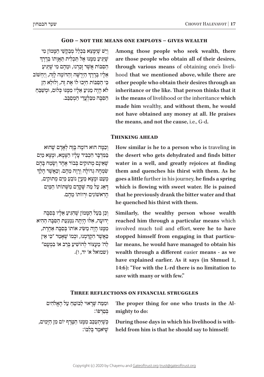# **GOD – NOT THE MEANS ONE EMPLOYS – GIVES WEALTH**

ׁ וְ יֵש ׁ שּ ֶ י ּ ִמ ְָ צֵ א בִּ כְ לַ ל מְ בַ ק ׁש ֵּ י הַ מ ָֹ מון מִ י ְ שִׁיְּגִיעַ מִמְּנּוּ אֵל תַּכְלִית תַּאֲוְתוֹ בְּדֶרֶד הַסְבוֹת אֲשׁר זַכְרְנוּ, וּמֵהֶם מִי שִׁיּגִיעַ ׇ֦֧֧֧֖֖֖֧֚֚֚֝֬֝֬֓֓֕֓֡֓֬֓֓֕֓֬֓<u>֓</u> ּׁ הַ יְרֻ ש ּ ָ ה וְ הַ דֹו ׁ מֶ ה לָ זֶה, וְ יַחְ שֹוב אֵ לָ יו בְּ דֶ רֶ ך ּכ ּ ִ י הַ ס ִֹ בּ ו ּ ת חִ י ּ ְבו ֹ לו ּ אֶ ת זֶה, וְ לולֵ א הֵ ן לֹא הָיָה מַגִּיעַ אֵלָיו מִמְּנּוּ כְּלוּם, וּמְשַׁבֵּחַ ּהַפַּה מִבַּלְעָדִי הַמְסַבֵּב. Among those people who seek wealth, there are those people who obtain all of their desires, hood that we mentioned above, while there are through various means of obtaining one's liveliother people who obtain their desires through an inheritance or the like. That person thinks that it is the means of livelihood or the inheritance which made him wealthy, and without them, he would not have obtained any money at all. He praises **the means, and not the cause, i.e., G-d.** 

# **THINKING AHEAD**

וְכַמֵּה הוּא דוֹמֶה בַּזֶה לְאֲדַם שֶׁהוּא ּבַּמְּדְבָּר הִכְבְּיד עָלָיו הַצָּמָא, וּמַצָא מַיִם ֿשֵׁאֵינַם מְתוּקִים בְּבוֹר אֶחָד וְשָׂמָה בָּהֶם ְ ְשְׂמְחָה גְרוֹלַה וְרַוַה מֶהֶם. וְכָאֲשֶׁר הַלַדְּ מְעַט וּמַצָא מַעָיַן נוֹבֵעַ מַיִם מְתוּקִים, רְאַג עַל מַה שֶׁקְרַם מִשְׁתוֹתוֹ הַמַּיִם ׁ הָ רִ אשֹו ּ נִ ים ו ֹרְ וו ֹתו מֵ הֶ ם.

ּ וְ כֵ ן בַּ עַ ל הַ מ ֹ ָ מו ׁ ן ש ֶּ הִ גִ יעַ אֵ לָ יו בְּ סִ בָּ ה ּ יְדו ּ עָ ה, אִ ל ּו ּ הָ יְתָ ה נִ מְ נַ עַ ת הַ סִ בָּ ה הַ הִ יא מִמְנוּ הַיָה מַשֵׂיג אוֹתו בְּסִבָּה אַחֲרת, כּאַשר הִקְדַמְנוּ, וּכְמוֹ שֵׁאַמַר "כִי אֵין לַה' מַעצוֹר לְהוֹשִׁיעַ בְּרַב או בִמְעַמ" )שמואל א' יד, ו(. **How similar is he to a person who is traveling in** the desert who gets dehydrated and finds bitter water in a well, and greatly rejoices at finding them and quenches his thirst with them. As he **goes** a little further in his journey, he finds a spring which is flowing with sweet water. He is pained that he previously drank the bitter water and that **he** quenched his thirst with them.

Similarly, the wealthy person whose wealth reached him through a particular means which involved much toil and effort, were he to have lar means, he would have managed to obtain his stopped himself from engaging in that particuwealth through a different easier means - as we have explained earlier. As it says (in Shmuel 1, 14:6): "For with the L-rd there is no limitation to save with many or with few."

# **THREE REFLECTIONS ON FINANCIAL STRUGGLES**

| וּמִמַּה שֶׁרַאוּי לַבּוֹמֵחַ עַל הַאֱלֹהִים | The proper thing for one who trusts in the Al-<br>: בְּמַרְפּוֹ: mighty to do:                                                                                |
|----------------------------------------------|---------------------------------------------------------------------------------------------------------------------------------------------------------------|
| שיאמר בלבו:                                  | -During those days in which his livelihood is with – כִּשֵׁיִתְעַכֵּב מְמֵנוּ הַמֵּרֵף יוֹם מְן הַיָּמִים,<br>held from him is that he should say to himself: |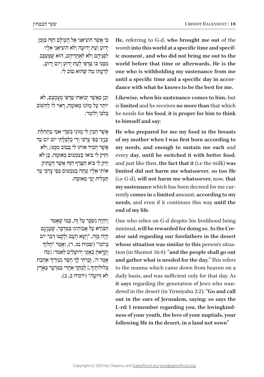He, referring to G-d, who brought me out of the ic moment, and who did not bring me out to the womb into this world at a specific time and specifworld before that time or afterwards, He is the one who is withholding my sustenance from me dance with what he knows to be the best for me. until a specific time and a specific day in accor-

Likewise, when his sustenance comes to him, but is limited and he receives no more than that which he needs for his food, it is proper for him to think to himself and say:

He who prepared for me my food in the breasts of my mother when I was first born according to my needs, and enough to sustain me each and every day, until he switched it with better food, and just like then, the fact that it (*i.e the milk*) was  **limited** did not harm me whatsoever, so too He (i.e G-d), will not harm me whatsoever, now, that  $r$  rently comes in a limited amount, according to my my sustenance which has been decreed for me cur**needs**, and even if it continues this way until the end of my life.

One who relies on G-d despite his livelihood being ator said regarding our forefathers in the desert minimal, will be rewarded for doing so. As the Cretion (in Shemot 16:4): "and the people shall go out whose situation was similar to this person's situaand gather what is needed for the day." This refers to the manna which came down from heaven on a daily basis, and was sufficient only for that day. As dered in the desert (in Yirmiyahu 2:2): "Go and call it says regarding the generation of Jews who wanout in the ears of Jerusalem, saying: so says the ness of your youth, the love of your nuptials, your L-rd: I remember regarding you, the lovingkindfollowing Me in the desert, in a land not sown"

ּכ ׁ ִ י אֲ ש ֶֹ ר הו ֹ צִ יאַ נִ י אֶ ל הָ עו ּ לָ ם הַ זֶה בִּ זְמַ ן ּ יָדו ּ עַ וְ עֵ ת יְדועָ ה וְ לֹ ֹ א הוצִ יאַ נִ י אֵ לָ יו לִפְנֵיהֵם וְלֹא לְאֲחֵרִיהֵם, הוּא שֶׁמְעַבֵּב ּמִ מ ּ ֶ נ ֹ ִ י בּ ו ּ טַ רְ פִּ י לְ עֵ ת יָדו ֹ עַ וְ יו ּ ם יָדועַ , לְדַעָתוֹ מֵה שֵׁהוּא טוֹב לִי.

ּ וְ כֵ ן כ ׁ ַ אֲ ש ֹ ֶ ר יְבו ּ אֵ הו ֹ טַ רְ פּ ו מְ צֻ מְ צָ ם, לֹא יוֹתֵר עַל מְזוֹנוֹ מְאוּמֵה, רֵאוּי לוֹ לַחְשׁוֹב בלבו ולומר:

אַשר הכין לי מזוֹני בּשׁרי אמי בּתחלת עִנְיַנִי כִּפִּי צַרְכִּי וְדֵי כָלְכַּלַתִי יוֹם יוֹם עַד אַשר המיר אוֹתוֹ לִי בִּמוֹב מִמְּנֵּוּ, וְלֹא ּהִ ז ֹ ִיק לִ י בּ ו ֹאו ּ בְּ צִ מְ צו ּ ם מְ או ּ מָ ה, כֵ ן לֹא יזיק לי בּוֹא הַטֵּרף הזה אַשׁר הַעָתִּיק ֿאוֹתִי אֵלֵיו עַתַּה בְּצְמָצוּם כִּפִּי צַרְכִּי עַד תּכלית ימי מאוּמה.

וְיִהְיֶה נִשְׂכָּר עַל זֶה, כִּמוֹ שֵׁאֲמַר הַבּוֹרָא עַל אֲבוֹתֵינוּ בַּמַּדְבַּר, שֵׁעַנְיַנַם הָיָה כָּזֶה, "וְיָצָא הָעָם וְלָקְטוּ דְּבַר יוֹם בְּיוֹמוֹ" (שמות טז, ד), וְאָמֵר "הַלוֹךְ וְקָרָאתָ בְאָזְנֵי יְרוּשְׁלַיִם לֵאמֹר: [כֹּה אָמַר ה', זָכַרְתִּי לָךְ חֶםֶד נְעַוּרַיִךְ אַהֲבַת ְְבְּלוּלוֹתָיִךָ,] לֶכְתֵּךְ אַחֲרֵי בַּמִּדְבָּר בְּאֶרֶץ ְלֹא זְרוּעַה" (ירמיה ב, ב).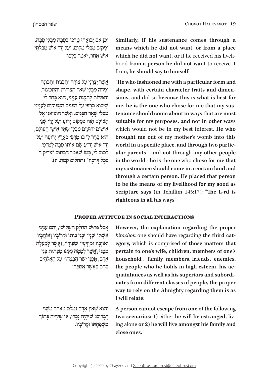ֹ וְ כֵ ן אִ ם יְבו ּ אֵ הו ֹ טַ רְ פּ ו בְּ סִ בָּ ה מִ בְּ לִ י סִ בָּ ה, וּמַקוֹם מִבְּלִי מֵקוֹם, וְעַל יְדֵי אִישׁ מִבִּלְתִּי ֹאיֹשׁ אַחְר, יֹאמַר בַּלְבּוֹ:

ֿאֲשֶׁר יְצָרַנִי עַל צוּרָה וְתַבְנִית וּתְכוּנָה וּמִדָה מִבְּלִי שָׁאֵר הַצוּרוֹת וְהַתְּכוּנוֹת וְהַמִּדוֹת לְתַקְּנַת עָנְיָנִי, הוּא בְּחַר לִי ֿשֵׁיַבוֹא טַרִפִּי עַל הַפְּנִים הַמְפִיקִים לְעַנְיַנֵי ׁ מִ בְּ לִ י ש ׁ ְ אָ ר הַ פָּ נִ ים. וַ אֲ ש ֶֹ ר הוצִ יאַ נִ י אֶ ל ֹהֲעוֹלַם הַזָּה בִּמְקוֹם יַדוּעַ וְעַל יָדֵי שָׁנֵי ׁאִ יש ּ ִ ים יְדו ִע ׁ ים מִ בְּ לִ י ש ׁ ְ אָ ר אִ יש ֵֹ י הָ עולָ ם, הוּא בַּחַר לִי בּוֹ טַרִפִּי בִּאֲרֵץ יְדוּעָה וְעַל יְדֵי אִישׁ יַדוּעַ שֵׂם אוֹתוֹ סִבָּה לְטַרִפִּי לְטוֹב לִי, כִּמוֹ שֵׁאַמַר הַכַּתוּב "צַדִּיק ה' בכל דרכיו" (תהלים קמה, יז). Similarly, if his sustenance comes through a means which he did not want, or from a place hood from a person he did not want to receive it which he did not want, or if he received his livelifrom, he should say to himself:

"He who fashioned me with a particular form and shape, with certain character traits and dimensions, and did so because this is what is best for tenance should come about in ways that are most me, he is the one who chose for me that my sussuitable for my purposes, and not in other ways which would not be in my best interest. He who brought me out of my mother's womb into this **ular parents - and not through any other people** world in a specific place, and through two partic **the world - he** is the one who chose for me that my sustenance should come in a certain land and **through a certain person. He placed that person** to be the means of my livelihood for my good as **Scripture** says (in Tehillim 145:17): "The L-rd is righteous in all his ways".

# **PROPER ATTITUDE IN SOCIAL INTERACTIONS**

 $\mu$ בְל פֵּרוּשׁ הַחֲלֵק הַשְּׁלִישִׁי, וְהֵם עַנְיְנֵי ֿאִשְׁתוֹ וּבְנֵיו וּבְנֵי בֵיתוֹ וּקְרוֹבָיו וְאוֹהֲבָיו וְ אוֹיְבָיו וּמְיֻדָּעָיו וּמַכִּירָיו, וַאֲשֶׁר לְמַעָלָה **מְמֵנּוּ וַאֲשֶׁר לְמַטֵּה מִמֵּנּוּ מִכְּתּוֹת בְּנֵי** אַרַם, אַפְנֵי יֹשֵׂר הַבְּטֵּחוֹן עַל הַאֱלֹהִים ּ בָּ הֶ ם כ ׁ ַ אֲ שֶ ר אֲ סַ פֵּ ר:

**וְהוּא שֵׁאֵין אַדָם נִמְלַט מֵאֵחָד מִשְׁנֵי** דְבָרִים: שֶׁיִּהְיֶה נָבְרִי, אוֹ שֶׁיִּהְיֶה בְּתוֹךָ ׁמִ ש ּ ְ פַּ חְ תֹו ּ וְק ֹרובָ יו. However, the explanation regarding the proper egory, which is comprised of those matters that bitachon one should have regarding the third catpertain to one's wife, children, members of one's household, family members, friends, enemies, nates from different classes of people, the proper quaintances as well as his superiors and subordithe people who he holds in high esteem, his acway to rely on the Almighty regarding them is as **I** will relate:

A person cannot escape from one of the following ing alone or 2) he will live amongst his family and two scenarios: 1) either he will be estranged, livclose ones.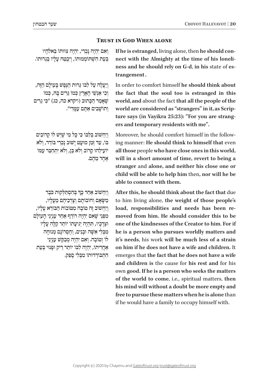# **TRUST IN GOD WHEN ALONE**

וְאִם יִהְיֶה נָכְרִי, יִהְיֶה צִוּוּתוֹ בֵּאלֹהָיו בְּעָת הַשְׁתוֹמְמוּתוֹ, וְיִבְמַח עָלֵיו בְּגְרוּתוֹ.

וְיַעֲלָה עַל לִבּוֹ גֵּרוּת הַנְפִּשׁ בַּעוֹלֵם הַזֶּה, וְכִי אֲנָשֵׁי הָאֲרֵץ כְּמוֹ גְּרִים בַּהּ, כְּמוֹ שׁאַמַר הַכַּתוּב (ויקרא כה, כג) "כִּי גֶרִים ֹ וְ תו ׁש ּ ָ בִ ים אַ ת ִֶ ם ע ּמָ דִ י".

וִיחִשׁוֹב בּלִבּוֹ כֵּי כּל מִי שִׁיּשׁ לוֹ קרוֹבים  $\epsilon$ בּוֹ, עַד זְמֵן מוּעַט יַשׁוּב נַכְרִי בּוֹדֵד, וְלֹא ֹיו ִע ּ ילֵ הו ָ ק ֹרוב וְ לֹא בֵּ ן, וְ לֹ ִ א יִתְ חַ בֵּ ר ע ּמֹו אחד מהם.

וְיַחְשׁוֹב אַחַר כְּךָ בְּהִסְתַּלְקוּת כֹּבֶד ְּ ׂמַ ש ֹ ָ אָ ם וְ חו ֹבותָ ם וְ צָ רְ כֵ יהֶ ם מֵ עָ לָ יו, וְיַחְשׁוֹב זֶה טוֹבָה מְטּוֹבוֹת הַבּוֹרֵא עָלָיו, מִפְּנֵי שֵׁאִם יְהָיֵה רוֹדֵף אַחַר עַנְיְנֵי הָעוֹלָם וּצְרַכִּיו, תִּהְיֶה יְגִיעַתוֹ יוֹתֵר קַלָּה עַלַיו ּׁ מִ בְּ לִ י אִ ש ּ ָ ה ו ֹ בָ נִ ים, וְ חֶ סְ רו ּ נָ ם מְ נוחָ ה לוֹ וְטוֹבְה. וְאִם יִהְיֶה מְּבַקֵשׁ עָנְיְנֵי ֹאַחֲרִיתוֹ, יְהָיֶה לִבּוֹ יוֹתֵר רֵיק וּפַּנוּי בְּעֵת הִתְבּוֹדְדוּתוֹ מִבְּלִי סַפֵּק.

ness and he should rely on G-d, in his state of es-<br>trangement . nect with the Almighty at the time of his loneli-<br>ness and he should rely on G-d, in his state of esnect with the Almighty at the time of his loneli**if he is estranged, living alone, then he should con-**

In order to comfort himself he should think about the fact that the soul too is estranged in this world, and about the fact that all the people of the ture says (in Vayikra 25:23): "For you are strang-<br>ers and temporary residents with me". world are considered as "strangers" in it, as Scrip-<br>ture says (in Vayikra 25:23): "For you are strangworld are considered as "strangers" in it, as Scrip-

ing manner: He should think to himself that even Moreover, he should comfort himself in the followall those people who have close ones in this world, will in a short amount of time, revert to being a stranger and alone, and neither his close one or child will be able to help him then, nor will he be able to connect with them.

After this, he should think about the fact that due to him living alone, the weight of those people's moved from him. He should consider this to be load, responsibilities and needs has been re**one of the kindnesses of the Creator to him. For if** he is a person who pursues worldly matters and it's needs, his work will be much less of a strain on him if he does not have a wife and children. It emerges that the fact that he does not have a wife and children is the cause for his rest and for his own good. If he is a person who seeks the matters of the world to come, i.e., spiritual matters, then his mind will without a doubt be more empty and free to pursue these matters when he is alone than if he would have a family to occupy himself with.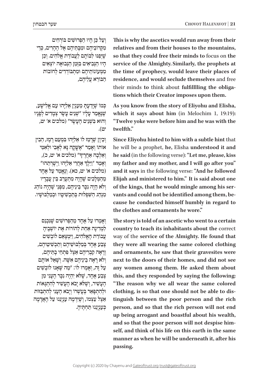ּ וְ עַ ל כ ּ ֵ ן הָ יו ּ הַ פְּ רו ׁש ֹ ִ ים בּ ורְ חִ ים ּמִ ק ֹרו ּ בֵ יהֶ ם ו ּ מִ בָּ ת ֵּ יהֶ ם אֶ ל הֶ הָ רִ ים, כְ דֵ י ְ ׁשּ ֶ י ּ ְפַ נּו ֹ לִ בּ ו ֹ תָ ם לַ עֲ בודַ ת אֱ לֹהִ ים. וְ כֵ ן הָיוּ הַנְּבִיאִים בַּזְמַן הַנְבוּאָה יוֹצְאִים מִמְעוֹנוֹתֵיהֵם וּמִתְבּוֹדְדִים לְחוֹבוֹת ֹהַ בּ ורֵ א עֲ לֵ יהֶ ם,

ּכְּמוֹ שֵׁיַדַעָתָ *מֵעָנְיַן אֵלְיָהוּ עָם אֱלִישָׁע*, ֿשֵׁ נֵאֲמַר עָלָיו "שָׁנֵים עָשָׂר צְמָדִים לְפָנָיו ּ וְ הו ׁ א בִּ ש ׂ ְ נֵ ים הֶ עָ שָ ר" )מלכים א' יט, יט(.

וְבִיוַן שֲרַמֵן לוֹ אֱלִיַּהוּ בִּמְעַט רֵמֶן, הֶבִין ֿאוֹתוֹ וְאָמֶר "אֵשֵׁקָה גַּא לְאָבִי וּלְאָמִי וְאֵלְכָה אַחֲרֶיךְ" (מלכים א' יט, כ), ׇ֦֧֧֧֖֖֖֧֚֚֚֝֬֝֬֓֓֕֓֡֓֬֓֓֕֓֬֓<u>֓</u> וְאָמַר ״וַיֵּלֶדְ אַחֲרֵי אֵלִיְהוּ וַיְשָׁרְתֵהוּ״ (מלכים א' יט, כא). וְנֵאֲמֵר עַל אֶחָד מֵהַמְלָכִים שֶׁהָיָה מִתְעָרֵב בֵּין עֲבָדָיו וְלֹא הָיָה נִכָּר בֵּינֵיהֶם, מִפְּנֵי שֶׁהָיָה נוֹהֶג ּׁ מִ נְ הַ ג הַ ש ּ ִ פְ לו ׁ ת בְּ תַ כְ ש ּ ִ יטָ יו ו ּ בְ מַ לְ בּ ו ׁשָ יו.

ּ וְ אָ מְ רו ּ עַ ל אֶ חָ ד מֵ הַ פְּ רו ׁש ִׁ ים שֶּ נִ כְ נַ ס לִמְדִינָה אֵחַת לְהוֹרוֹת אֵת יוֹשְׁבֵיהַ ֹעֲ בודַ ת הָ אֱ לֹ ּ הִ ים, וַ י ֹ ִמְ צָ אֵ ם לו ׁבְ שִ ים ּ צֶ בַ ע אֶ חָ ד בְּ מַ לְ בּ ו ׁש ֵׁ יהֶ ם וְ תַ כְ שִ יטֵ יהֶ ם, וְרָאָה קִבְרִיהֶם אֵצֶל פִּתְחֵי בְתֵּיהֶם, וְלֹא רַאָה בֵינֵיהֵם אַשָּׁה. וְשָׁאֵל אוֹתֵם ּ עַ ל זֶה, וְ אָ מְ רו ֹ לו ּׁ : "מַ ה ש ּ ֶ אָ נו ֹ לו ׁבְ שִ ים ֿ צָבַע אַחַד, שֵׁלֹּא יָהָיֶה נִכֵּר הֵעֲנִי מִן הֶעָשִׁיר, וְשֶׁלֹּא יָבֹא הֶעָשִׁיר לְהִתְגָּאוֹת וּלְהִתְפָּאֵר בְּעָשְׁרוֹ וְיָבֹא הֶעָנִי לְהִתְבַּזוֹת אֵצֶל עַצְמוֹ, וְשֵׁיִדְמֶה עַנְיָנֵנוּ עַל הָאֲדָמָה ָ כְּעַנְיַנְנוּ תְּחְתִּיהָ. This is why the ascetics would run away from their relatives and from their houses to the mountains, so that they could free their minds to focus on the service of the Almighty. Similarly, the prophets at the time of prophecy, would leave their places of residence, and would seclude themselves and free tions which their Creator imposes upon them. their minds to think about fulfillling the obliga-

As you know from the story of Eliyohu and Elisha, which it says about him (in Melochim 1, 19:19): "Twelve yoke were before him and he was with the twelfth."

Since Eliyohu hinted to him with a subtle hint that he will be a prophet, he, Elisha understood it and **he said** (in the following verse): "Let me, please, kiss my father and my mother, and I will go after you" and it says in the following verse: "And he followed Elijah and ministered to him." It is said about one cause he conducted himself humbly in regard to vants and could not be identified among them, beof the kings, that he would mingle among his serthe clothes and ornaments he wore."

The story is told of an ascetic who went to a certain country to teach its inhabitants about the correct way of the service of the Almighty. He found that they were all wearing the same colored clothing and ornaments, he saw that their gravesites were next to the doors of their homes, and did not see any women among them. He asked them about this, and they responded by saying the following: "The reason why we all wear the same colored tinguish between the poor person and the rich clothing, is so that one should not be able to disperson, and so that the rich person will not end up being arrogant and boastful about his wealth, self, and think of his life on this earth in the same and so that the poor person will not despise himmanner as when he will be underneath it, after his **.passing**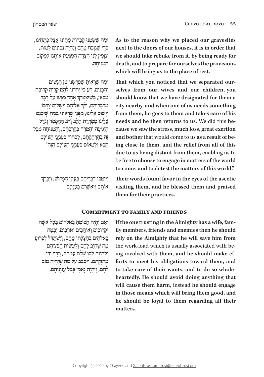As to the reason why we placed our gravesites next to the doors of our houses, it is in order that we should take rebuke from it, by being ready for death, and to prepare for ourselves the provisions which will bring us to the place of rest.

selves from our wives and our children, you That which you noticed that we separated ourshould know that we have designated for them a city nearby, and when one of us needs something from them, he goes to them and takes care of his cause we saw the stress, much loss, great exertion **heads** and he then returns to us. We did this being close to them, and the relief from all of this **and bother that would come to us as a result of be**due to us being distant from them, enabling us to be free to choose to engage in matters of the world to come, and to detest the matters of this world."

ּו ּׁ מַ ה ש ַּׂ ֶ ש ּמְ נו ִ ק ֹבְ רו ּ ת מֵ תֵ ינו ּ אֵ צֶ ל פְּ תָ חֵ ינו, כְּדִי שֵׁנֵּוּכָה מֵהֶם וְנִהְיָה נְכוֹנִים לָמוּת, וְנַזְמִין לָנוּ הַצֵּדַה הַמַּגַּעַת אוֹתֲנוּ לִמְקוֹם ּהַ מ ּ ְ נוחָ ה.

וּמַה שֵׁרָאִיתָ שֵׁפֵּרַשָׁנוּ מִן הַנָּשִׁים ּ וְ הַ בָּ נִ ים, ד ּ ַ ע כ ִּ י יִחַ דְ נו ִ לָ הֶ ם ק ְ רְ יָה ק ֹרובָ ה ְּמִכָּאן, כְּשֶׁיִצְטְרֵךְ אֶחָד מִמֶּנּוּ עַל דָבָר ְּמִדִּבְרֵיהֶם, יֵלֵךְ אֲלֵיהֶם וְיַשְׁלִים צָרְכּוֹ וְיָשׁוּב אֱלֵינוּ, מִפְּנֵי שַׁרֵאִינוּ בְּמֵה שֵׁיְכֵּנֵם ּ עָ לֵ ינו ּ מִ ט ּ ִ רְ ד ּ ַ ת הַ לֵ ב וְ רֹ ֹ ב הַ הֶ פְ סֵ ד וְ גדֶ ל הַיְגִיעָה וְהַטֹּרַח בְּקִרְבְתֵם, וְהַמְּנוּחָה מִכָּל ָ זֶה בְּ הַ רְ חָ ק ֹ תָ ם, לִ בְ חו ִ ר בְּ ע ֹ נְ יְנֵ י הָ עולָ ם הִ וּ לִמְאוֹם בְּעַנְיֵנֵי הַעֲוֹלָם הַזֶה".

> ׇ֦֧֧֧֖֖֖֧֚֚֚֝֬֝֬֓֓֕֓֡֓֬֓֓֕֓֬֓<u>֓</u> וַיִּטְבוּ דִבְרִיהֶם בְּעֵינֵי הַפָּרוּשׁ, וַיְבָרֶךְ ֹאו ּׁ תָ ם וַ יְאַ ש ְִ רֵ ם בְּ ענְ יָנָ ם.

Their words found favor in the eyes of the ascetic visiting them, and he blessed them and praised **them** for their practices.

## **COMMITMENT TO FAMILY AND FRIENDS**

וְאִם יְהִיָה הַבּוֹטֵחַ בֵּאלֹהִים בַּעַל אִשָּׁה וּקְרוֹבִים וְאוֹהֲבִים וְאוֹיְבִים, יִבְטַח בֵּאלֹהִים בְּהַצְלַתוֹ מֵהֶם, וְיִשְׁתַּדֵּל לִפְרוֹעַ מַה שֶׁחַיַּב לַהֶם וְלַעֲשׂוֹת חֶפְצִיהֶם וְלִהְיוֹת לִבּוֹ שָׁלֵם עָמֶהֶם, וְיֶרֶף יָדוֹ מִהזַקַתֵּם, וִיסַבֵּב עַל מֵה שֵׁיִּהְיֶה טוֹב לְהֶם, וְיִהְיָה נַאֲמֵן בְּבַל עַנְיְנֵיהֶם, ily members, friends and enemies then he should If the one trusting in the Almighty has a wife, famrely on the Almighty that he will save him from forts to meet his obligations toward them, and ing involved with them, and he should make efthe work-load which is usually associated with beheartedly. He should avoid doing anything that to take care of their wants, and to do so wholewill cause them harm, instead he should engage in those means which will bring them good, and he should be loyal to them regarding all their **.matters**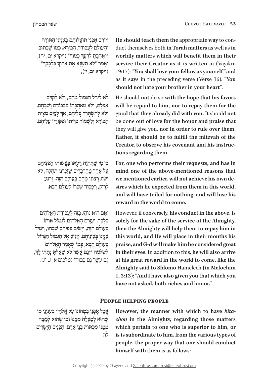וְיוֹרָם אַפְּנֵי תוֹעֲלוֹתֵם בְּעָנְיְנֵי הַתּוֹרָה וְהַעוֹלַם לַעֲבוֹדַת הַבּוֹרֵא. כְּמוֹ שֶׁכֵּתוּב "וְאָהַבְתָּ לְרֵעֲךָ כְּמוֹךְ" (ויקרא יט, יה), ָוְאָמַר "לֹא תִשְׂנָא אֶת אָחִיךְ *בִּלְבָבֶך* ויקרא יט, יז),  $($ ויקרא י

לֹא לְיֵחֵל הַגְּמוּל מֵהֶם, וְלֹא לְקָדֶם אֶ צְלָם, וְלֹא מֵאֲהֲבָתוֹ בִּכְבוֹדָם וְשָׁבְחֵם, ְוְרֹא לְהִשְׂתָרֵר עֲלֵיהֶם, אַדְּ לְקַיֵּם מִצְוַת הַבּוֹרֵא וְלִשְׁמוֹר בְּרִיתוֹ וּפִקּוּדֵיו עֲלֵיהֶם.

ּכ ׁ ִ י מִ י ש ֶּ ת ְִ הְ יֶה דַ ע ּתֹו ׂ בַּ עֲ שֹו ֹתו חֶ פְ צֵ יהֶ ם  $\mu$ עַל אֶחָד מֵהַדְּבָרִים שֶׁזַּבְרְנוּ תְּחָלֵה, לֹא יַשִּׂיג רְצוֹנוֹ מֵהֶם בַּעוֹלַם הַזֶּה, וְיִיגַע ׂ לָ רִ יק, וְ יַפְ סִ יד ש ֹ ְ כָ רו ֹ לָ עולָ ם הַ בָּ א.

ּ וְ אִ ם הו ֹ א נו ֹ הֵ ג בָּ זֶה לַ עֲ בודַ ת הָ אֱ לֹהִ ים בִּלְבַד, יַעֲזֶרֶם הָאֱלֹהִים לְגְמוֹל אוֹתוֹ בְּעוֹלָם הַזֶּה, וְיַשִׂים בִּפִּיהֶם שַׁבְחוֹ, וְיְגְדֵל ענִינו בְּעֵינִיהֵם, וְיַגִּיעַ אֵל הַגְּמוּל הַגְּדוֹל בְּעוֹלַם הַבָּא, כְּמוֹ שֶׁאֲמֵר הָאֱלֹהִים ׇ֦֧֧֧֖֖֖֧֚֚֚֝֬֝֬֓֓֕֓֡֓֬֓֓֕֓֬֓<u>֓</u> לִשְׁלֹמֹה "וְנַם אֲשֶׁר לֹא שָׁאַלְתָּ נְתַתִּי לְדִ, ּגַם עַשֶׁר גַּם כְּבוֹד" (מלכים א' ג, יג). duct themselves both in Torah matters as well as in He should teach them the appropriate way to conworldly matters which will benefit them in their service their Creator as it is written in (Vayikra) 19:17): "You shall love your fellow as yourself" and as it says in the preceding verse (Verse 16): "You should not hate your brother in your heart".

He should not do so with the hope that his favors will be repaid to him, nor to repay them for the good that they already did with you. It should not be done out of love for the honor and praise that they will give you, nor in order to rule over them. Rather, it should be to fulfill the mitzvah of the Creator, to observe his covenant and his instructions regarding them.

For, one who performs their requests, and has in mind one of the above-mentioned reasons that sires which he expected from them in this world, we mentioned earlier, will not achieve his own deand will have toiled for nothing, and will lose his reward in the world to come.

However, if conversely, his conduct in the above, is solely for the sake of the service of the Almighty, then the Almighty will help them to repay him in this world, and He will place in their mouths his praise, and G-d will make him be considered great in their eyes. In addition to this, he will also arrive at his great reward in the world to come, like the **Almighty said to Shlomo Hamelech (in Melochim 1, 3:13): "And I have also given you that which you** have not asked, both riches and honor."

## **people helping People**

ֹאֲבָל אָפְנֵי בִמְהוֹנוֹ עַל אֱלֹהֵיו בְּעַנְיְנֵי מִי ֿשֲהוּא לְמֵעַלַה מִמְּנּוּ וּמִי שֲׁהוּא לְמַטֵּה ּמִ מ ּ ֶ נּו ּ מִ כ ִּ תֹו ׁ ת בְּ נֵ י אָ דָ ם, הַ פָּ נִ ים הַ יְשָ רִ ים ֹלו:

*chon* in the Almighty, regarding those matters However, the manner with which to have *bita*which pertain to one who is superior to him, or is is subordinate to him, from the various types of people, the proper way that one should conduct himself with them is as follows: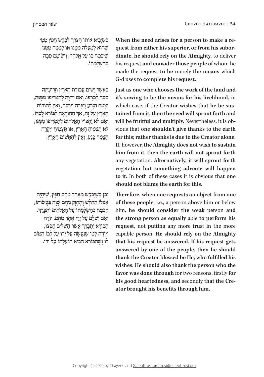ּבְשֶׁיָּבִיא אוֹתוֹ הַצֹּרֶךְ לְבַקֵּישׁ הֵפֶּץ מִמִּי ְ ֵ ְשֵׁהוּא לְמֵעָלָה מִמֵּנּוּ אוֹ לְמַטֵּה מִמֵּנּוּ, שִׁיִּבְטֵח בּוֹ עַל אֱלֹהֵיו, וִישִׂימֵם סִבָּה בְּהַשָׁלָמַתוֹ,

ּכַּ אֲשֶׁר יָשִׂים עֲבודַת הָאָרֶץ וּזְרִיעָתָה סִבָּה לְטַרִפּוֹ. וְאָם יִרְצֶה לְהַטְרִיפוֹ מִמְנָה, יִצְמַח הַזֵּרְעָ וְיִפְרָה וְיִרְבָּה, וְאֵין לְהוֹדוֹת ְהָאָרָץ עַל זֶה, אַד הַהוֹדָאָה לַבּוֹרֵא לְבַדוֹ. וְאִם לֹא יַחְפּוֹץ הַאֱלֹהִים לְהַטְרִיפוֹ מִמְּנּוּ, לֹא תַצְמִיחַ הָאֲרֵץ, או תַּצְמִיחַ וְיִקְרָה ָ הַצְמַח פְּגַע, וְאֵין לְהַאֲשִׁים הַאֲרֵץ.

וְכֵן כְּשֶׁיְבַקֵּשׁ מֵאֶחָד מֵהֶם חֵפֶץ, שֶׁיִּהְיֶה ֹ אֶ צְ לו ּ הַ חַ ל ָׁ ש ׁ וְ הֶ חָ זָק מֵ הֶ ם ש ָׂ וֶ ה בַּ עֲ שֹו ֹתו, ְוְיִבְטַח בְּהַשְׁלָמָתוֹ עַל הָאֱלֹהִים יִתְבְּרֵךָ. ׁ וְ אִ ם יִש ֹ ְ לַ ם עַ ל יְדֵ י אֶ חָ ד מֵ הֶ ם, יודֶ ה ׇ֦֧֧֧֖֖֖֧֚֚֚֝֬֝֬֓֓֕֓֡֓֬֓֓֕֓֬֓<u>֓</u> ּהַבּוֹרֵא יִתְבְרַךְ אֲשֶׁר הִשְׁלִים חֶפְצוֹ, וְיוֹדֶה לְמִי יִשְׁנַעֲשָׂה עַל יַדוֹ עַל לְבּוֹ הַמּוֹב ֹלוֹ וֹשַׁהִבּוֹרֹא הִבִיא תּוֹעַלתּוֹ עַל יִדוֹ. dinate, he should rely on the Almighty, to deliver quest from either his superior, or from his subor-When the need arises for a person to make a rehis request and consider those people of whom he made the request to be merely the means which G-d uses to complete his request.

**Iust as one who chooses the work of the land and** it's sowing to be the means for his livelihood, in tained from it, then the seed will sprout forth and which case, if the Creator wishes that he be susvious that one shouldn't give thanks to the earth will be fruitful and multiply. Nevertheless, it is obfor this; rather thanks is due to the Creator alone. If, however, the Almighty does not wish to sustain him from it, then the earth will not sprout forth any vegetation. Alternatively, it will sprout forth vegetation but something adverse will happen to it. In both of these cases it is obvious that one should not blame the earth for this.

Therefore, when one requests an object from one of these people, i.e., a person above him or below him, he should consider the weak person and the strong person as equally able to perform his request, not putting any more trust in the more capable person. He should rely on the Almighty that his request be answered. If his request gets answered by one of the people, then he should thank the Creator blessed be He, who fulfilled his wishes. He should also thank the person who the favor was done through for two reasons; firstly for his good heartedness, and secondly that the Cre-<br>ator brought his benefits through him.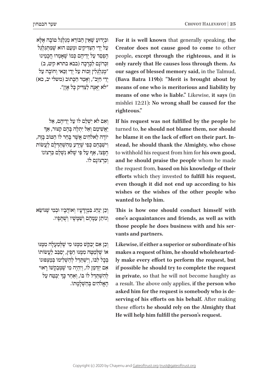וּבְיָדוּעַ שֵׁאֵין הַבּוֹרֵא מְגַלְגֵּל טוֹבָה אֵלֵא ֿ עַל יִדִי הַצַּדִּיקִים וּמְעַט הוּא שַׁמַתְגַּלְגֵל הִפְסֵד עַל יְדִיהֶם כְּמוֹ שֵׁאֲמְרוּ חֲכָמִינוּ *וֹכְרוֹנָם לִבְרַכָה (בבא בתרא קיט, ב*) "מְגַלְגָּלִין זְכוּת עַל יְדֵי זַכֵּאי וְחוֹבָה עַל יִדִי חַיָּב", וְאָמֵר הַכְּתוּב (משלי יב, כא) "לֹ ּ א יְאֻ נ ּ ֶ ה לַ צ ּ ַ ד ּ ִ יק כָ ל אָ וֶ ן".

וְאִם לֹא יִשְׁלַם לוֹ עַל יְדֵיהֶם, אַל<br>יַאֲשִׁימֵם וְאַל יִתְלֶה בְּהֶם קִצּוּר, אַךְ יוֹדָה לֹאלֹהִים אַשׁר בַּחַר לוֹ הַטּוֹב בֵּזֶה, ׁ וִ יש ּ ַ בְּ חֵ ם כ ְׁ פִ י שּ ֶ י ׁ ֵדַ ע מֵ הִ ש ּ ְ ת ּ ַ ד ׂ ְ לָ ם לַ עֲ שֹות ֹ חֶ פְ צו ׁ , אַ ף עַ ל פִּ י ש ֶּ לֹ ׁ א נִ ש ּ ְ לַ ם כ ִֹ רְ צו ֹנו וכרצונם לו.

ּ וְ כֵ ן יִנְ הַ ג בִּ מְ יֻד ֹ ָ עָ יו וְ או ּ הֲ בָ יו ו ׁ בְ מִ י שֶּ נֹו ׂשֵ א ֹ וְ נו ִ תֵ ן ע ּמ ׁ ָ הֶ ם וְ ש ּ ַ מ ָׁ ש ָׁ יו וְ ש ֻּ תָ פָ יו.

ּ וְ כֵ ן אִ ם יְבַ ק ׁש ּ מִ מ ֶּ נּו ׁ מִ י ש ּ ֶ ל ְְ מַ ע ּ לָ ה מִ מ ֶּ נּו ֵ או שַׁלְמַטֵּה מִמְּנּוּ חֵפֵץ, יִסַבֵּב לַעֲשׂוֹתוֹ בְּבַל לִבּוֹ, וְיִשְׁתַּדֵּל לְהַשָּׁלִימוּ בְּמֵצְפּוּנוֹ אִם יִזְדִמֵּן לוֹ, וְיִהְיֶה מִי שַׁמַּבַקְשׁוֹ רַאוּי לְהִשְׁתַּדֵּל לוֹ בּוֹ, וְאַחַר כְּךָ יִבְטַח עַל הָאֱלֹהִים בְּהַשְׁלַמַתוֹ. For it is well known that generally speaking, the Creator does not cause good to come to other people, except through the righteous, and it is only rarely that He causes loss through them. As our sages of blessed memory said, in the Talmud, (Bava Batra 119b): "Merit is brought about by means of one who is meritorious and liability by means of one who is liable." Likewise, it says (in mishlei 12:21): No wrong shall be caused for the **".righteous**

If his request was not fulfilled by the people he turned to, he should not blame them, nor should stead, he should thank the Almighty, who chose he blame it on the lack of effort on their part. Into withhold his request from him for his own good, and he should praise the people whom he made the request from, based on his knowledge of their efforts which they invested to fulfill his request, even though it did not end up according to his wishes or the wishes of the other people who wanted to help him.

This is how one should conduct himself with one's acquaintances and friends, as well as with those people he does business with and his servants and partners.

Likewise, if either a superior or subordinate of his ly make every effort to perform the request, but makes a request of him, he should wholeheartedif possible he should try to complete the request in private, so that he will not become haughty as a result. The above only applies, if the person who serving of his efforts on his behalf. After making asked him for the request is somebody who is dethese efforts he should rely on the Almighty that **He will help him fulfill the person's request.**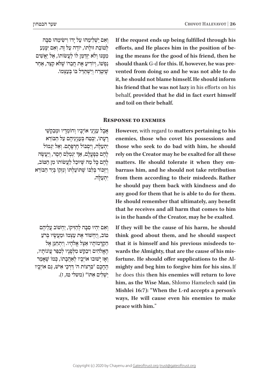וְאִם יַשְׁלִימֵהוּ עַל יַדוֹ וִישִׂימֵהוּ סִבָּה לְטוֹבַת זוּלַתוֹ, יוֹדֵה עַל זֶה. וְאִם יִמֵּנַע מִמְנּוּ וְלֹא יִזַדְמֵן לו לַעֲשׂוֹתוֹ, אֵל יַאֲשִׁים נַפְשׁוֹ, וְיוֹדִיעַ אֵת חֲבֵרוֹ שַׁלֹּא קַצֵּר, אַחַר ׁשּ ֶ י ׁ ִטְ רַ ח וְ יִש ּ ְ ת ַּ ד ֹ ֵ ל בּ ו ֹ בְּ עַ צְ מו.

אֲבָל עָנִיְנֵי אוֹיְבָיו וְחוֹמְדָיו וּמִבַקִשֵׁי ַרְעַתוֹ, יִבְטֵח בְּעַנְיְנֵיהֶם עַל הַבּוֹרֵא יִתְעַלָּה, וְיִסְבּוֹל חֲרִפְּתֵם. וְאֵל יְגְמוֹל ְלְהֶם כְּפְעֲלָם, אַךְ יִנְמְלֵם הֶסֶד, וְיַעֲשֶׂה להם כל מה שִׁיּוּכל לעשׂוֹתוֹ מַן הַטּוֹב, ּ וְ יִזְכֹו ֹ ר בְּ לִ בּ ו ׁ ש ֶּ תֹו ּ עַ לְ תֹו ֹ וְ נִ זְקו ֹ בְּ יַד הַ בּ ורֵ א

ּ יִתְ עַ לֶ ה.

If the request ends up being fulfilled through his ing the means for the good of his friend, then he efforts, and He places him in the position of bevented from doing so and he was not able to do should thank G-d for this. If, however, he was preit, he should not blame himself. He should inform his friend that he was not lazy in his efforts on his behalf, provided that he did in fact exert himself and toil on their behalf.

# **RESPONSE TO ENEMIES**

**However, with regard to matters pertaining to his** enemies, those who covet his possessions and those who seek to do bad with him, he should rely on the Creator may he be exalted for all these matters. He should tolerate it when they em-<br>barrass him, and he should not take retribution from them according to their misdeeds. Rather he should pay them back with kindness and do any good for them that he is able to do for them. He should remember that ultimately, any benefit that he receives and all harm that comes to him is in the hands of the Creator, may he be exalted.

וְאִם יְהִיוּ סִבָּה לְהַזִּיקוֹ, יַחְשׁוֹב עֲלֵיהֶם ְטוֹב, וְיַחְשׁוֹד אֶת עַצְמוֹ וּמֵעֲשָׂיו בְּרֹעַ הַקְרַמוֹתַיו אֵצֶל אֱלֹהָיו. וְיִתְחַנֵּן אֵל הָאֱלֹהִים וִיבַקֵשׁ מִלְפָנָיו לְכַפֵּר עֲוֹנוֹתָיו, וְאֵז יַשׁוּבוּ אוֹיִבְיו לְאַהֲבָתוֹ, כְּמוֹ שֵׁאֲמֵר ֹ הֶ חָ כָ ם "בִּ רְ צו ּ ת ה' ד ׁ ַ רְ כֵ י אִ יש ּ , ג ֹ ַ ם אויְבָ יו ישלים אתו" (משלי טז, ז). If they will be the cause of his harm, he should think good about them, and he should suspect mighty and beg him to forgive him for his sins. If fortune. He should offer supplications to the Alwards the Almighty, that are the cause of his misthat it is himself and his previous misdeeds tohe does this then his enemies will return to love him, as the Wise Man, Shlomo Hamelech said (in Mishlei 16:7): "When the L-rd accepts a person's ways, He will cause even his enemies to make peace with him."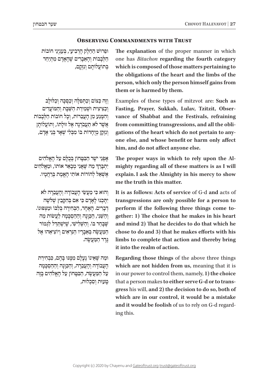# **OBSERVING COMMANDMENTS WITH TRUST**

ּו ּ פֵ רו ׁש ִ הַ חֵ לֶ ק הָ רְ בִ יע ִ י, בְּ ע ֹ נְ יְנֵ י חו ֹבות ּהַלְּבָבוֹת וְהָאֱבָרִים שֶׁהָאָדָם מְתִיְחֵד בְתוֹעֲלוֹתֵם וְנִזְקַם,

וְזֶה כַּצּוֹם וְכַתְּפִלָּה וְכַסְּכֵּה וְכַלוּלַב וְכַצִיצִית וּשָׁמַירַת הַשַּׁבַת וְהַמּוֹעֲדִים וְהִמְנַע מֵן הַעֲבֵרוֹת, וְכָל חוֹבוֹת הַלְּבָבוֹת אֲשֶׁר לֹא תַעֲבֹרְנָה אֶל זוּלְתוֹ, וְתוֹעֲלוֹתָן וְנִזְקַן מְיִחֲדוֹת בּוֹ מִבְּלִי שָׁאֵר בְּנֵי אָדָם,

אַפְנֵי יֹשֶׁר הַבְּטֵּחוֹן בְּבְלַם עַל הַאֱלֹהִים ְיִתְבְּרֵךְ מַה שֶׁאֲנִי מְבָאֵר אוֹתוֹ, וּמֵאֱלֹהִים אִשָׁאֵל להוֹרוֹת אוֹתִי האִמַת בַּרְחֲמִיו.

ּ וְ הו ּא כ ִׂ י מַ עֲ ש ֹ ֵ י הָ עֲ בודָ ה וְ הָ עֲ בֵ רָ ה לֹא יִתְּכְנוּ לְאָדָם כִּי אִם בְּהִקְבֵץ שְׁלֹשָׁה דְבָרִים. הָאֱחָד, הַבְּחִירָה בְּלְבּוֹ וּמַצְפּוּנוֹ. וְהַשֶּׁנִי, הַכַּוְּנָה וְהַהַסְכָּמָה לַעֲשׂוֹת מַה ֿיֹשֲבָחַר בּוֹ. וְהַשְׁלִישֵׁי, שֵׁיִּשְׁתַּדֵּל לִגְמוֹר הַמַּעֲשֶׂה בִּאֲבָרִיו הַנְּרָאִים וְיוֹצִיאָהוּ אֶל ּג ּ ֶ דֶ ר הַ מ ׂ ַ עֲ שֶ ה.

וּמַה שֵׁאֵינוֹ נֵעַלֵם מִמְּנּוּ בַּהֶם, כִּבְחִירַת הָעֲבוֹדָה וְהָעֲבֵרָה, וְהַכַּוְּנָה וְהַהַסְכָּמָה ּ עַ ל הַ מ ׂ ַ עֲ ש ּ ֶ ה, הַ בִּ ט ֹ ָ חון עַ ל הָ אֱ לֹהִ ים בָּ זֶה ּ טָ עו ּ ת וְ סִ כְ לות, The explanation of the proper manner in which one has *Bitachon* regarding the fourth category which is composed of those matters pertaining to the obligations of the heart and the limbs of the person, which only the person himself gains from them or is harmed by them.

Examples of these types of mitzvot are: Such as Fasting, Prayer, Sukkah, Lulav, Tzitzit, Obser-<br>vance of Shabbat and the Festivals, refraining one else, and whose benefit or harm only affect gations of the heart which do not pertain to anyfrom committing transgressions, and all the oblihim, and do not affect anyone else.

mighty regarding all of these matters is as I will The proper ways in which to rely upon the Alexplain. I ask the Almighty in his mercy to show me the truth in this matter.

It is as follows: Acts of service of G-d and acts of transgressions are only possible for a person to gether: 1) The choice that he makes in his heart perform if the following three things come toand mind 2) That he decides to do that which he chose to do and 3) that he makes efforts with his limbs to complete that action and thereby bring it into the realm of action.

Regarding those things of the above three things which are not hidden from us, meaning that it is in our power to control them, namely, 1) the choice gress his will, and 2) the decision to do so, both of that a person makes to either serve G-d or to transwhich are in our control, it would be a mistake **and it would be foolish** of us to rely on G-d regard-<br>ing this.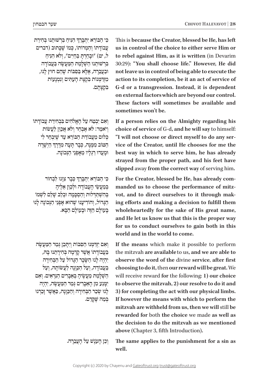This is because the Creator, blessed be He, has left us in control of the choice to either serve Him or to rebel against Him, as it is written (in Devarim 30:29): "You shall choose life." However, He did **not leave us in control of being able to execute the** action to its completion, be it an act of service of G-d or a transgression. Instead, it is dependent on external factors which are beyond our control. These factors will sometimes be available and sometimes won't be.

If a person relies on the Almighty regarding his choice of service of G-d, and he will say to himself: vice of the Creator, until He chooses for me the "I will not choose or direct myself to do any serbest way in which to serve him, he has already strayed from the proper path, and his feet have **.him serving of serving him. originally** slipped away from the correct way of serving him.

ing efforts and making a decision to fulfill them vot, and to direct ourselves to it through makmanded us to choose the performance of mitz-For the Creator, blessed be He, has already comwholeheartedly for the sake of His great name, and He let us know us that this is the proper way for us to conduct ourselves to gain both in this world and in the world to come.

If the means which make it possible to perform the mitzvah are available to us, and we are able to *f***observe the word of the divine service, after first** choosing to do it, then our reward will be great. We will receive reward for the following: 1) our choice to observe the mitzvah, 2) our resolve to do it and **3**) for completing the act with our physical limbs. If however the means with which to perform the mitzvah are withheld from us, then we will still be rewarded for both the choice we made as well as the decision to do the mitzvah as we mentioned  $a$ **bove** (Chapter 3, fifth Introduction).

ְּכִּי הַבּוֹרֵא יִתְבְּרֵךְ הִנִּיהַ בִּרְשׁוּתֵנוּ בְּחִירַת ֿעֲבוֹדַתוֹ וְהַמְרוֹתוֹ, כְּמוֹ שֵׁכַּתוּב (דברים ל, יט) "וּבַחַרְתּ בַּחַיִּים", וְלֹא הִנִּיחַ בִרְשׁוּתֵנוּ הַשְׁלָמַת הַמַּעֲשֶׂה בַּעֲבוֹדָה ּו ּ בַ עֲ בֵ רָ ה, אֶ ל ּ ָ א בַּ ס ִֹ בּ ו ׁת ש ֶּ הֵ ם חו ּ ץ לָ נו, ּמְזַדְּמְנוֹת בִּקְצָת הָעָתִּים וְנִמְנָעוֹת ְבִּ קצָ תָ ם.

וְאִם יִבְמַה עַל הָאֱלֹהִים בִּבְחִירַת עֲבוֹדֵתוֹ וְ יֹאמַר: לֹא אָבְהַר וְלֹא אָכוּוְ לִעֲשׂוֹת יבלום מעבודת הבורא עד שיבחר לי ְהַטּוֹב מִמֶּנְה, כְּבָר תְּעָה מִדֶּרֶךְ הַיְשָׁרָה ּו ּ מָ עֲ דו ּ רַ גְ לָ יו מֵ אָ פְ נֵ י הַ נ ֹ ְ כונָ ה.

ְכִּי הַבּוֹרֵא יִתְבְרֵךְ כְּבָר צִוָּנוּ לִבְחוֹר בְּמַעֲשֵׂי הַעֲבוֹדָה וּלְכֵוֵן אֱלֵיהָ .<br>בהשתרלות והסכמה ובלב שלם לשמו הַגֲרוֹל, וְהוֹדִיעֲנוּ שֶׁהוּא אָפְנֵי הַגְּכוֹנָה לַנוּ בּעוֹלם הזה וּבעוֹלם הבּא.

וְאִם יִזְדַמְּנוּ הַסְּבּוֹת וְיִתְּכֵן גִּמַר הַמַּעֲשֶׂה ָבְעֲבוֹדָתוֹ אֲשֶׁר קַדְמָה בְּחִירָתְנוּ בַּה, יְהִיָה לְנוּ הַשָּׂכֵר הַגְּדוֹל עַל הַבְּחִירַה בַּעֲבוֹדֵה, וְעַל הַכֵּוּנָה לַעֲשׂוֹתֵה, וְעַל הַשְׁלָמַת מַעֲשֵׂיהָ בִּאֲבָרִים הַנִּרְאִים. וְאִם יִמְּנַע מִן הָאֵבָרִים גְּמַר הַמַּעֲשֶׂה, יְהָיֶה לְנוּ שִׂכַר הַבְּחִירָה וְהַכַּוָּנָה, כַּאֲשֵׁר זָכַרְנוּ ּבְּמַה שֶׁקְדַם.

וְכֵן הָעָנֶשׁ עַל הָעֲבֵרָה.

The same applies to the punishment for a sin as well.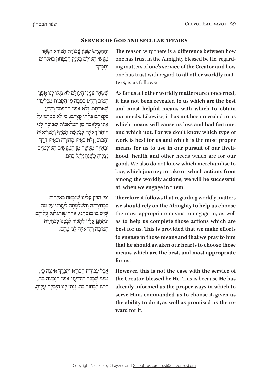# **SERVICE OF GOD AND SECULAR AFFAIRS**

וְהַהִפְרֵשׁ שֶׁבֵּין עֲבוֹדַת הַבּוֹרֵא וּשָׁאָר ְמַעֲשֵׂי הַעֲוֹלֵם בְּעָנְיָן הַבִּטֵּחוֹן בֵּאלֹהִים ְ: יִתְ בָּ רֵ ך

שַׁשָּׁאַר עַנְיְנֵי הַעוֹלַם לֹא נִגְלוּ לַנוּ אַפְּנֵי הַטּוֹב וְהַרַע בִּסְבָּה מֵן הַסְּבּוֹת מִבַּלְעֲדֵי ׁש ְ אֵ רִ יתָ ם, וְ לֹא אָ פְ נֵ י הַ הֶ פְ סֵ ד וְ הָ רָ ע בִּקְצַתֵם בִּלְתִּי קִצִתם, כּי לֹא עַמִדנוּ עַל אִיזוֹ מלֹאכה מַן המלֹאכוֹת שַׁמּוֹבה לִנוּ וְיוֹתֵר רְאוּיָה לְבַקָּשָׁת הַטֶּרֶף וְהַבְּרִיאוּת<br>והמוֹר. ולא ראיוו תחורה וראיוו דרד וְהַטּוֹב, וְלֹא בְּאֵיזוֹ סְחוֹרָה וּבְאֵיזוֹ דֶרֶךְ וּבְאֵיזָה מַעֲשֶׂה מֵן הַמַּעֲשִׂים הַעָוֹלַמִיִּים נצליח כשנתגלגל בהם.

ּו ּ מִ ן הַ ד ּ ִ ין עָ לֵ ינו ׁ שּ ֶ נִ בְ טַ ח בֵּ אלֹהִ ים בּבחירתה והשלמתה לעזרנוּ על מה  $i$ שֵׁיִּשׁ בּוֹ טוֹבָתֵנוּ, אַחַר שֵׁנְתְגַלְגֵל עֲלֵיהֶם ונתחנן אליו להעיר לבבנוּ לבחירת הַטּוֹבה והראוּיה לִנוּ מִהם.

ׇ֦֧֧֧֖֖֖֧֚֚֚֝֬֝֬֓֓֕֓֡֓֬֓֓֕֓֬֓<u>֓</u> אֲבָל עֲבוֹדַת הַבּוֹרֵא יִתְבְּרֵךְ אֵינֶנָּה כֵּן, מִפְּנֵי שֵׁכִּבָר הוֹדִיעָנוּ אָפְנֵי הַנִּכוֹנָה בָּה, וְצִוְנוּ לִבְחוֹר בְּה, וְנָתַן לְנוּ הַיְכֹלֶת עָלֶיהָ. The reason why there is a difference between how ing matters of one's service of the Creator and how one has trust in the Almighty blessed be He, regardone has trust with regard to <mark>all other worldly matters,</mark> is as follows:

As far as all other worldly matters are concerned, it has not been revealed to us which are the best and most helpful means with which to obtain our needs. Likewise, it has not been revealed to us which means will cause us loss and bad fortune. and which not. For we don't know which type of work is best for us and which is the most proper hood, health and other needs which are for our means for us to use in our pursuit of our liveli**good.** We also do not know which merchandise to buy, which journey to take or which actions from among the worldly actions, we will be successful at, when we engage in them.

Therefore it follows that regarding worldly matters we should rely on the Almighty to help us choose the most appropriate means to engage in, as well as to help us complete those actions which are best for us. This is provided that we make efforts to engage in those means and that we pray to him that he should awaken our hearts to choose those means which are the best, and most appropriate for us.

However, this is not the case with the service of the Creator, blessed be He. This is because He has already informed us the proper ways in which to serve Him, commanded us to choose it, given us the ability to do it, as well as promised us the re-<br>ward for it.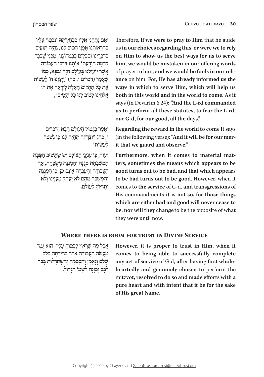וְאָם נִתְחַגֵּן אֶלָיו בִּבְחִירַתָה וְנִבְטַח עָלָיו בְּהַרְאוֹתֵנוּ אִפְנֵי הַטּוֹב לָנוּ, נִהְיֶה תּוֹעִים ּ בִּדְבַרִינוּ וּסְכָלִים בִּבְטְחוֹנְנוּ, מִפְּנֵי שַׁכִּבַר קִדְמָה הוֹדַעַתוֹ אוֹתֵנוּ דִּרְכֵי הַעֲבוֹדָה אַשָר יוֹעילֵנוּ בַּעוֹלַם הַזֶּה וּבַבֵּא, כִּמוֹ שׁאַמַר (דברים ו, כד) "וַיְצַוּנוּ ה' לַעֲשׂוֹת ּ ָ ל הַ חֻ ק ּ ים הָ אֵ לֶ ה לְ יִרְ אָ ה אֶ ת ה' ּ אֶ ת כ ִ אֱלֹהֵינוּ לְטוֹב לָנוּ כַּל הַיָּמִים",

> וְאֵמֵר בִּגְמוּל הֲעוֹלָם הַבָּא (דברים ו, כה) "וּצְדַקָה תְּהָיֶה לָּנוּ כִּי נִשְׁמֹר ׂ לַ עֲ שֹות".

**וְעוֹד, כִּי עַנְיְנֵי הַעוֹלַם יֵשׁ שֶׁתַּשׁוּב הַסְּבָּה** הַמְשָׁבַּחַת מְגִנָּה וְהַמְגְנַה מְשָׁבַחַת, אַך הַעֲבוֹדָה וְהָעֲבֵרָה אֵינָם כֵּן, כִּי הַמְגִנָּה ׁ וְ הַ מְ שֻ בָּ ח מֵ הֶ ם לֹ ְ א יֶע ּת ִ ַ ק מֵ ע ֹ נְ יָנו וְ לֹא יתחלף לעולם.

Therefore, if we were to pray to Him that he guide us in our choices regarding this, or were we to rely on Him to show us the best ways for us to serve him, we would be mistaken in our offering words ance on him. For, He has already informed us the of prayer to him, and we would be fools in our reliways in which to serve Him, which will help us both in this world and in the world to come. As it says (in Devarim 6:24): "And the L-rd commanded us to perform all these statutes, to fear the L-rd, our G-d, for our good, all the days."

Regarding the reward in the world to come it says (in the following verse): "And it will be for our mer-<br>it that we guard and observe."

ters, sometimes the means which appears to be Furthermore, when it comes to material matgood turns out to be bad, and that which appears to be bad turns out to be good. However, when it comes to the service of G-d, and transgressions of His commandments it is not so, for those things which are either bad and good will never cease to be, nor will they change to be the opposite of what they were until now.

# **WHERE THERE IS ROOM FOR TRUST IN DIVINE SERVICE**

 $\epsilon$ אֲבָל מֵה שֶׁרֵאוּי לִבְמוֹחַ עַלֵיו, הוּא גְמֵר ׂ מַ עֲ ש ֹ ֵ ה הָ עֲ בו ּ דָ ה אַ חַ ר בְּ חִ ירָ תָ ה בְּ לֵ ב שָׁלֵם וְנֵאֱמֶן וְהַסְכָּמָה וְהִשְׁתַּדְלוּת בִּבַר ּ לִבְב וְכֵוּנָה לִשְׁמוֹ הַגֵּדוֹל.

However, it is proper to trust in Him, when it comes to being able to successfully complete heartedly and genuinely chosen to perform the any act of service of G-d, after having first wholemitzvot, resolved to do so and made efforts with a pure heart and with intent that it be for the sake of His great Name.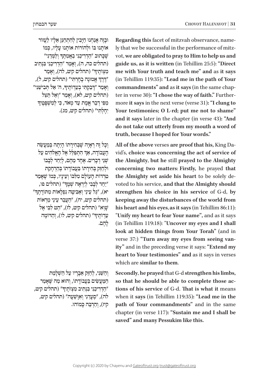וּבְזֶה אֲנַחְנוּ חַיַּבִין לְהִתְחַנֵּן אֵלֵיו לַעֲזוֹר ֿאוֹתַנוּ בּוֹ וּלְהוֹרוֹת אוֹתֵנוּ עַלִיו, כְּמוֹ ָשְׁבְּתוּב "הַדְרִיכֵּנִי בַּאֲמִהֶדּ וְלַמְּדֵנִי" (תהלים כה, ה), וְאָמֵר "הַדְרִיכֵנִי בִּנְתִיב מִצְוֹתֶיךְ" (תהלים קיט, לה), וְאָמַר ׇ֦֧֧֧֖֖֖֧֚֚֚֝֬֝֬֓֓֕֓֡֓֬֓֓֕֓֬֓<u>֓</u> יָרֶךְ אֱמוּנָה בְחָרְתִי" (תהלים קיט, ל), ָוְאָמַר ״דְבַקְתִּי בְעֵדְוֹתֶיךָ, ה׳ אַל תְּבִישֵׁנִי״ (תהלים קיט, לא), וְאָמַר ״וְאַל תַּצֵל<br>מִפִּי דְבַר אֱמֶת עַד מְאֹד, כִּי לְמִשְׁפָּטֵיךָ יִחֲלְתִּי" (תהלים קיט, מג).

וְכָל זֶה רְאָיָה שֶׁבְּחִירַתוֹ הָיִתָּה בְּמַעֲשֶׂה ְ ּ הִ תְ פַּ לֵ ל אֶ ל הָ אֱ לֹהִ ים עַ ל ֹ הָ עֲ בודָ ה, אַ ך ֹשׁנֵי דִבְרִים. אֶחֶד מֵהֶם, לְיַחֵד לְבָבוֹ ּוּלְחַזֵּק בְּחִירָתוֹ בַּעֲבוֹדָתוֹ בְּהַרְחָקַת ְטְרְדוֹת הֲעוֹלֵם מִלְּבּוֹ וְעָינֵיו, כְּמוֹ שֵׁאֲמֵר "יַחֵד לְבְבִי לְיִרְאָה שְׁמֶךְ" (תהלים פו, יא), "גַּל עֵינַי וְאַבִּיטָה נִפְלָאוֹת מִתּוֹרְתֶךּ" (תהלים קיט, יח), "העבר עיני מראות ֿשַוא" (תהלים קיט, לז), "הַט לִבּי אָל ָעֵדְוֹתֶיךָ" (תהלים קיט, לו), וְהַדוֹמֶה להם.

וְהַשֶּׁנִי, לְחַזֵּק אֵבְרִיו עַל הַשְׁלַמָּת הַמַּעֲשִׂים בַּעֲבוֹדַתוֹ, וְהוּא מַה שֵׁאֲמֵר "הַדְרִיכֵנִי בִּנְתִיב מִצְוֹתֶיךָ" (תהלים קיט, לה), "סְעָדֵנִי וְאִוַּשֵׁעָה" (תהלים קיט, קיז), וְהַרְבֵּה כַּמוֹהוּ. vot, we are obligated to pray to Him to help us and ly that we be successful in the performance of mitz-Regarding this facet of mitzvah observance, name**guide us, as it is written (in Tehillim 25:5): "Direct** me with Your truth and teach me" and as it says (in Tehillim 119:35): "Lead me in the path of Your more it says in the next verse (verse 31): "I clung to ter in verse 30): "I chose the way of faith." Furthercommandments" and as it says (in the same chap-Your testimonies; O L-rd; put me not to shame" and it says later in the chapter (in verse 43): "And do not take out utterly from my mouth a word of truth, because I hoped for Your words."

vid's, choice was concerning the act of service of All of the above verses are proof that his, King Dathe Almighty, but he still prayed to the Almighty concerning two matters: Firstly, he prayed that voted to his service, and that the Almighty should the Almighty set aside his heart to be solely destrengthen his choice in his service of G-d, by keeping away the disturbances of the world from his heart and his eyes, as it says (in Tehillim 86:11): "Unify my heart to fear Your name", and as it says (in Tehillim 119:18): "Uncover my eyes and I shall look at hidden things from Your Torah" (and in ity" and in the preceding verse it says: "Extend my **verse 37:)** "Turn away my eyes from seeing vanheart to Your testimonies" and as it says in verses which are similar to them.

Secondly, he prayed that G-d strengthen his limbs, **tions of his service of G-d. That is what it means** so that he should be able to complete those acwhen it says (in Tehillim 119:35): "Lead me in the path of Your commandments" and in the same chapter (in verse 117): "Sustain me and I shall be saved" and many Pessukim like this.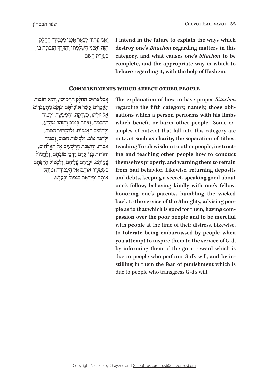וַאֲנִי עָתִיד לְבָאֵר אָפְנֵי מַפְסִידֵי הַחֵלֶק ׇ֦֧֧֧֖֖֖֧֚֚֚֝֬֝֬֓֓֕֓֡֓֬֓֓֕֓֬֓<u>֓</u> ּהַזֶּה וְאָפְּגֵי הַשְׁלָמְתוֹ וְהַדֶּרֶךְ הַנְּכוֹנָה בּוֹ, ּבְּעָזֵרת הַשֵּׁם.

I intend in the future to explain the ways which  **destroy** one's *Bitachon* regarding matters in this category, and what causes one's *bitachon* to be complete, and the appropriate way in which to behave regarding it, with the help of Hashem.

# **COMMANDMENTS WHICH AFFECT OTHER PEOPLE**

 $\kappa$ בל פּרוּשׁ הַחֲלֵק הַחֲמִישֵׁי, וְהוּא חוֹבוֹת הַאֲבָרִים אֲשֶׁר תּוֹעַלְתַם וְנִזְקָם מִתְעַבְּרִים  $\kappa$ אֶל זוּלַתוֹ, כַּצְדַקָה, וְהַמֵּעֲשֶׂר, וְלִמּוּד הַחֲכְמָה, וְצַוּוֹת בְּמוֹב וְהָזְהֵר מֵהְרָע, ּו ׁ לְ הָ ש ִֹ יב הָ אֲ מָ נו ּת, ו ּ לְ הַ סְ ת ִּ יר הַ סֹוד,  $i$ וּלְדַבֵּר טוֹב, וְלֵעֲשׂוֹת הַטּוֹב, וְכִבּוּד ֹאָ בו ׁ ת, וַ הֲ ש ׁ ָ בַ ת הָ רְ ש ִ ָ עים אֶ ל הָ אֱ לֹהִ ים, וְהוֹרוֹת בְּנֵי אַדָם דַּרְכֵי טוֹבָתִם, וְלַחֲמוֹל ּעֲ נִ י ּ ֵיהֶ ם, ו ֹ לְ רַ חֵ ם עֲ לֵ יהֶ ם, וְ לִ סְ בּ ול חֶ רְ פָּ תָ ם כִּשְׁמֵעִיר אוֹתֵם אֵל הַעֲבוֹדֵה וּמְיַחֵל ֹאוֹתָם וּמְיָרְאָם בִּנְמוּל וּבְעָנֶשׁ.

The explanation of how to have proper *Bitachon* gations which a person performs with his limbs regarding the fifth category, namely, those obliamples of mitzvot that fall into this category are which benefit or harm other people. Some exmitzvot such as charity, the separation of tithes, ing and teaching other people how to conduct teaching Torah wisdom to other people, instructthemselves properly, and warning them to refrain from bad behavior. Likewise, returning deposits and debts, keeping a secret, speaking good about one's fellow, behaving kindly with one's fellow, honoring one's parents, humbling the wicked passion over the poor people and to be merciful ple as to that which is good for them, having comback to the service of the Almighty, advising peowith people at the time of their distress. Likewise, to tolerate being embarrassed by people when  **you attempt to inspire them to the service of G-d,** by informing them of the great reward which is stilling in them the fear of punishment which is due to people who perform G-d's will, and by indue to people who transgress G-d's will.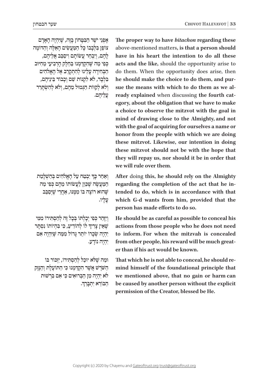**The proper way to have** *bitachon* **regarding these** above-mentioned matters, is that a person should have in his heart the intention to do all these acts and the like, should the opportunity arise to do them. When the opportunity does arise, then egory, about the obligation that we have to make ready explained when discussing the fourth catsue the means with which to do them as we alhe should make the choice to do them, and pura choice to observe the mitzvot with the goal in mind of drawing close to the Almighty, and not with the goal of acquiring for ourselves a name or honor from the people with which we are doing these mitzvot. Likewise, our intention in doing these mitzvot should not be with the hope that they will repay us, nor should it be in order that we will rule over them.

After doing this, he should rely on the Almighty regarding the completion of the act that he intended to do, which is in accordance with that which G-d wants from him, provided that the person has made efforts to do so.

He should be as careful as possible to conceal his actions from those people who he does not need to inform. For when the mitzvah is concealed from other people, his reward will be much great-<br>er than if his act would be known.

mind himself of the foundational principle that That which he is not able to conceal, he should rewe mentioned above, that no gain or harm can be caused by another person without the explicit permission of the Creator, blessed be He.

אָפְנֵי יֹשֵׂר הַבְּטָּחוֹן בָּזֶה, שֵׁיִּהְיֶה הָאָדָם ֹצו ֹ פֵ ן בִּ לְ בָ בו ּ כ ָּ ל הַ מ ׂ ַ עֲ ש ּ ִ ים הָ אֵ ל ֶּ ה וְ הַ דֹומֶ ה ֹלְהֶם, וְיִבְחַר עֲשׂוֹתָם וִיסַבֵּב אֲלֵיהֶם, ּכ ּׁ ְ פִ י מַ ה ש ְֶ הִ ק ּד ּ ַ מְ נו ִ בַּ חֵ לֶ ק הָ רְ בִ יע ּ י מֵ חִ י ּוב ּ הַ בְּ חִ ירָ ה עָ לֵ ינו ָ לְ הִ תְ קרֵ ב אֶ ל הָ אֱ לֹהִ ים בִּלְבַד, לֹא לִקְנוֹת שֵׁם וְכָבוֹד בֵּינֵיהֵם, וְלֹא לְקַוּוֹת הַגְּמוּל מֵהֶם, וְלֹא לְהִשְׂתֵרֵר עֲלִיהֵם.

וְאַחַר כְּךְ יִבְטַח עַל הָאֱלֹהִים בְּהַשְׁלָמַת המעשה שכּוּן לעשׂותוֹ מהם כפי מה ֿשֲׁהוּא רוֹצֵה בּוֹ מִמְּנּוּ, אַחֲרִי שֵׁיִּסַבֵּב עָ לָ יו.

וְיָזָהֵר כִּפִּי יִכָלְתוֹ בִּכָל זֶה לְהַסְתִּירוֹ מִמְי ְֹשֶׁאֵין צְרִיךְ לוֹ לְהוֹדִיעַ, כִּי בִּהְיוֹתוֹ נִסְתָר יְהָיֶה שְׂכָרוֹ יוֹתֵר גַּדוֹל מִמָּה שֵׁיִּהְיֶה אִם ֹ יִהְ יֶה נודָ ע.

וּמַה שֵׁלֹא יוּכַל לְהַסְתֵּירוֹ, יִזְכּוֹר בּוֹ הַשֹּׁרֵשׁ אֲשֶׁר הִקְדַּמְנוּ כִּי הַתּוֹעָלֶת וְהַנֵּזֶק לֹא יִהְיֶה מִן הַבְּרוּאִים כִּי אִם בִּרְשׁוּת . ֹהַ בּ ורֵ א יִתְ בָּ רֵ ךׇ֦֧֧֧֖֖֖֧֚֚֚֝֬֝֬֓֓֕֓֡֓֬֓֓֕֓֬֓<u>֓</u>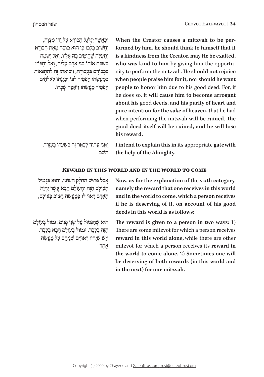וְכַאֲשֶׁר יְגַלְגֵּל הַבּוֹרָא עַל יַדוֹ מִצְוָה, ַיַחְשׁוֹב בְּלְבּוֹ כִּי הוּא טוֹבָה מֵאֵת הַבּוֹרֵא יִתְעַלָּה שֶׁהֵיטִיב בַּהּ אֵלֵיו, וְאֵל יִשְׂמַח בְּשֶׁבֶּחָ אוֹתוֹ בְּנֵי אַדָם עַלִיהָ, וְאֵל יַחְפּוֹץ בְּבוֹדָם בַּעֲבוּרָהּ, וְיבִיאֵהוּ זֶה לְהִתְגָּאוֹת בְּמַעֲשֶׂהוּ וְיַפְּסִיד לִבּוֹ וְכֵוּנַתוֹ לֵאלֹהִים וְיַפְּםִיד מֵעֲשׂהוּ וְי**ֹאַבֵּד שְׂכָרוֹ.**  formed by him, he should think to himself that it When the Creator causes a mitzvah to be peris a kindness from the Creator, may He be exalted, nity to perform the mitzvah. He should not rejoice who was kind to him by giving him the opportuwhen people praise him for it, nor should he want people to honor him due to his good deed. For, if he does so, it will cause him to become arrogant about his good deeds, and his purity of heart and pure intention for the sake of heaven, that he had when performing the mitzvah will be ruined. The good deed itself will be ruined, and he will lose his reward.

וַ נֵאֲנִי עָתִיד לְבָאֵר זֶה בְּשֵׁעֲרוֹ בְּעֶזְרַת ּהֹשִׁם.

I intend to explain this in its appropriate gate with the help of the Almighty.

# **REWARD IN THIS WORLD AND IN THE WORLD TO COME**

 $\epsilon$ אֲבָל פֵּרוּשׁ הַחֱלֵק הַשָּׁשִׁי, וְהוּא בִּגְמוּל ְהַעוֹלַם הַזֶּה וְהַעוֹלַם הַבָּא אֲשֶׁר יְהָיֶה ּ הָ אָ דָ ם רָ או ֹ י לו ּ בַּ מ ַׂ עֲ ש ּ ֶ ה הַ טֹו ֹ ב בָּ עולָ ם,

Now, as for the explanation of the sixth category, namely the reward that one receives in this world and in the world to come, which a person receives if he is deserving of it, on account of his good deeds in this world is as follows:

הוא שֶׁהַגְּמוּל עַל שְׁנֵי פָּנִים: גִּמוּל בָּעוֹלַם הַזָּה בִּלְבַד, וּגְמוּל בְּעוֹלָם הַבָּא בִּלְבָד. וְיֵשׁ שֵׁיּהִיוּ רִאוּיִים שָׁנֵיהֵם עַל מַעֲשֶׂה אֶ חָ ד.

The reward is given to a person in two ways: 1) There are some mitzvot for which a person receives reward in this world alone, while there are other mitzvot for which a person receives its reward in the world to come alone. 2) Sometimes one will be deserving of both rewards (in this world and in the next) for one mitzvah.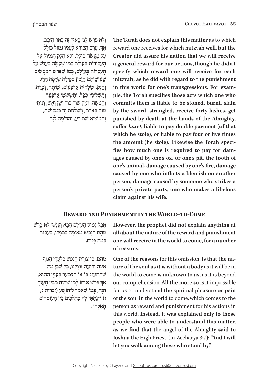וְ לֹ ֹ א פ ׁרַ ש ּ לָ נו ּ בֵּ אור זֶה בַּ אֵ ר הֵ יטֵ ב.

ֹאֲדָ, עָרַב הַבּוֹרֵא לְעַמּוֹ גְּמוּל כּוֹלֵל ֿ עַל מַעֲשָׂה כּוֹלֵל, וְלֹא חִלֵּק הַגִּמוּל עַל הָעֲבוֹדוֹת בְּעוֹלָם כְּמוֹ שֶׁעָשָׂה בְּעָנֶשׁ עַל הַעֲבֵרוֹת בָּעוֹלָם, כִּמוֹ שֶׁפֵּרַשׁ הַמַּעֲשָׂיִם ֿשֵׁעוֹשֵׂיהֵם חַיָּבִין סִקִילַה שְׂרֵפָה הֵרֶג וָהֶנֶק, וּמַלְקוּת אַרְבָּעָים, וּמִיתָה, וְכָרֵת, ׁ וְ תַ ש ּ ְ לו ׁ מֵ י כֵ פֶ ל, וְ תַ ש ּ ְ לומֵ י אַ רְ בָּ עָ ה ּׁ וַ חֲ מִ ש ׁ ָ ה, וְ נֶ זֶק שֹו ֹ ר בּ ו ׁ ר וְ ש ֵׁ ן וְ אֵ ש ֹ , וְ נותֵ ן ּמו ׁ ם בָּ אָ דָ ם, וְ שֹו ּ לַ חַ ת יָד בִּ מְ בו ׁשָ יו, ּ וְ הַ מֹו ׁ צִ יא ש ּ ֵ ם רָ ע, וְ הַ דֹומֶ ה לָ זֶה.

ְ

The Torah does not explain this matter as to which reward one receives for which mitzvah well, but the **Creator did assure his nation that we will receive** a general reward for our actions, though he didn't specify which reward one will receive for each mitzvah, as he did with regard to the punishment ple, the Torah specifies those acts which one who in this world for one's transgressions. For examcommits them is liable to be stoned, burnt, slain by the sword, strangled, receive forty lashes, get punished by death at the hands of the Almighty, suffer *karet*, liable to pay double payment (of that which he stole), or liable to pay four or five times ages caused by one's ox, or one's pit, the tooth of fies how much one is required to pay for damthe amount (he stole). Likewise the Torah specione's animal, damage caused by one's fire, damage caused by one who inflicts a blemish on another person, damage caused by someone who strikes a person's private parts, one who makes a libelous claim against his wife.

# **REWARD AND PUNISHMENT IN THE WORLD-TO-COME**

However, the prophet did not explain anything at all about the nature of the reward and punishment one will receive in the world to come, for a number of reasons:

ture of the soul as it is without a body as it will be in **One of the reasons for this omission, is that the na**the world to come is unknown to us, as it is beyond our comprehension. All the more so is it impossible for us to understand the spiritual pleasure or pain of the soul in the world to come, which comes to the person as reward and punishment for his actions in this world. Instead, it was explained only to those people who were able to understand this matter, as we find that the angel of the Almighty said to **Joshua** the High Priest, (in Zecharya 3:7): "And I will let you walk among these who stand by."

ּ אֲ בָ ל ג ּ ְ מו ֹ ל הָ עו ׁ לָ ם הַ בָּ א וְ עָ נְ שֹו לֹ ׁ א פֵ רַ ש ּ מֵ הֶ ם הַ נ ּ ָ בִ יא מְ או ֹ מָ ה בְּ סִ פְ רו ּ , בַּ עֲ בור ּכ ּ ַ מָ ה פָ נִ ים.

ּ מִהם, כּי צוּרת הּנּפּשׁ בּלֹעַדי הגּוּף ּ אֵ ינָ ה ּ יְדו ּ עָ ה אֶ צְ לֵ נו ּ , כ ׁ ָ ל ש ֶּ כֵ ן מַ ה ּׁש ּ ֶ ת ִּ תְ עַ נ ֵֹ ג בּ ו ֹ או ּ ת ִִ צְ טַ עֵ ר בָּ ע ּ נְ יָן הַ הוא, ְאַך פֵּרַשׁ אותו לְמִי שֶׁהָיָה מֵבִין הָעָנְיָן ּהַ ז ּ ֶה, כ ְֹ מו ׁ ש ֶֹ אָ מַ ר לִ יהו ׁשֻ עַ )זכריה ג, ָּז) "וְנָתַתִּי לְךָּ מַהְלְכִים בֵּין הָעוֹמְדִים ּ הָ אֵ לֶ ה".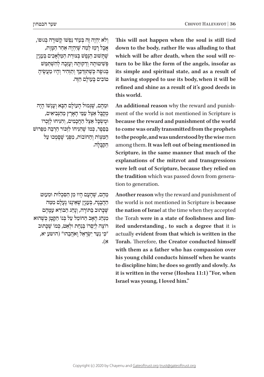This will not happen when the soul is still tied down to the body, rather He was alluding to that turn to be like the form of the angels, insofar as which will be after death, when the soul will reits simple and spiritual state, and as a result of it having stopped to use its body, when it will be refined and shine as a result of it's good deeds in this world.

ment of the world is not mentioned in Scripture is An additional reason why the reward and punish**because the reward and punishment of the world** to come was orally transmitted from the prophets to the people, and was understood by the wise men among them. It was left out of being mentioned in Scripture, in the same manner that much of the explanations of the mitzvot and transgressions were left out of Scripture, because they relied on **the tradition** which was passed down from generation to generation.

Another reason why the reward and punishment of the world is not mentioned in Scripture is because the nation of Israel at the time when they accepted ited understanding, to such a degree that it is the Torah were in a state of foolishness and limactually evident from that which is written in the **Torah.** Therefore, the Creator conducted himself with them as a father who has compassion over his young child conducts himself when he wants to discipline him; he does so gently and slowly. As it is written in the verse (Hoshea 11:1) "For, when Israel was young, I loved him."

וְלֹא יָהְיָה זֶה בְּעָוֹד נַפְשׁוֹ קִשׁוּרַה בְּגוּפוֹ, ּׁ אֲ בָ ל רָ מַ ז לְ מַ ה שּ ֶ י ּ ִהְ יֶה אַ חַ ר הַ מָ וֶ ת, ֿשֵׁתַּשׁוּב הַגַּפֵּשׁ בְּצוּרַת הַמַּלְאַכִים בְּעַנִין פְּשִׁיטוּתָה וַדַקוּתֵה וְעָזְבָה לְהִשְׁתַּמֵּשׁ ְבְּגוּפָה כְּשֶׁתִּזְדַּבֵּךְ וְתַזְהִיר וְהָיוּ מַעֲשֶׂיהָ מוֹבִים בַּעוֹלַם הַזֶּה.

וּמֵהֶם, שֶׁגְּמוּל הַעוֹלַם הַבָּא וְעָנְשׁוֹ הַיָה ֻמְ ק ּ בָּ ל אֵ צֶ ל עַ מ ּ ֵ י הָ אָ רֶ ץ מֵ הַ נְ בִ יאִ ים, וּמִשְׁכֵל אֵצֶל הַחֲכָמִים, וְהִנִּיחוּ לְזָכְרוֹ בּפַפר, כּמוֹ שׁהּנּיחוֹ לזכּוֹר הרבּה מִפּרוּשׁ הַמִּצְוֹת וְהַחוֹבוֹת, מִפְּנֵי שֵׁסֵמְכוּ עַל הקבלה. ַ

מהם, שהעם היוּ מן הסכלות וּמעוּט הַהֲבָנָה, בְּעָנְיַן שֶׁאֵינֵנּוּ נִעֲלָם מִמַּה ֿשֵׁכַּתוּב בַּתּוֹרָה, וְנַהָג הַבּוֹרֵא עָמַהֶם ּמִנְהַג הָאָב הַחוֹמֵל עַל בְּנוֹ הַקָּטְן כְּשֶׁהוּא רוֹצֶה לְיַסְרוֹ בְּנַחֲת וּלְאֵט, כְּמוֹ שֵׁכַּתוּב יִכִּי נַעֲר יִשְׂרַאֵל וַאֹהֲבֶהוּ" (הושע יא, א(.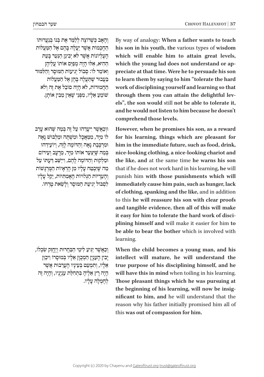וְהָאָב כָּשֶׁרוֹצָה לְלַמֵּד אֶת בְּנוֹ בְּנַעֲרוּתוֹ הַחַכְמוֹת אֲשֶׁר יַעֲלֶה בַּהֶם אֱל הַמֲעֲלוֹת הַעֲלִיוֹנוֹת אֲשֶׁר לֹא יְבִינֵן הַנַּעַר בַּעָת ּ הַ הִ יא, אִ ל ּו ּ הָ יָה מְ פַ י ֹ ֵס או ֹתו עֲ לֵ יהֶ ן וְאוֹמֵר לוֹ: סְבוֹל יְגִיעוֹת הַמּוּסֵר וְהַלְּמּוּד בַּעֲבוּר שֵׁתַּעֲלָה בָּהֶן אֵל הַמֵּעֲלוֹת ּ הַ חֲ מו ֹדות, לֹ ֹ א הָ יָה סובֵ ל אֶ ת זֶה וְ לֹא ֿשׁוֹמֵעַ אַלִיו, מִפְּנֵי שֵׁאֵין מֵבִין אוֹתֵן.

וּוכאַשׁר ייעדהוּ על זה בּמה שהוא ערב לוֹ מִיד, ממֹאכל וּמִשׁתה וּמַלְבּוּשׁ נַאָה וּמִרְכֵּבֶת נַאָה וְהַדּוֹמֶה לֵזֶה, וְיוֹעַידֵהוּ בְּמֵה שֵׁיִצַעֲר אוֹתוֹ מֵיַד, מֵרַעָב וְעֵירוֹם וּמַלְקוּת וְהַדוֹמֵה לָהֶם, וְייַשֵּׁב דַעָתּוֹ עַל מַה שֵׁיַּבְטֵח עַלַיו מֵן הַרְאֵיוֹת הַמְּרְגַּשׁוֹת וְהַעֲדִיּוֹת הַגְּלוּיוֹת הַאֲמִתִּיוֹת, יֵקַל עַלֵיו לִסְבּוֹל יְגִיעַת הִמּוּסֵר וְלִשֵׂאֵת טַרְחוֹ.

וִכְ יְצִיע לִימֵי הַבַּחְרוּת וִיחזק שַׂכלוֹ, יִבִין הענין המכוּן אליו במוּסרוֹ ויכוּן  $\omega$ אַלִיו, וְתִמְעַט בְּעֵינַיו הַעֲרֵבוּת אֲשֶׁר ּ הָ יָה רָ ץ אֵ לֶ יהָ בִּ תְ חִ ל ִ ַ ת ענְ יָנָ יו, וְ הָ יָה זֶה לחמלה עליו. By way of analogy: When a father wants to teach his son in his youth, the various types of wisdom which will enable him to attain great levels, preciate at that time. Were he to persuade his son which the young lad does not understand or apto learn them by saying to him "tolerate the hard work of disciplining yourself and learning so that **els**", the son would still not be able to tolerate it, through them you can attain the delightful levand he would not listen to him because he doesn't comprehend those levels.

However, when he promises his son, as a reward for his learning, things which are pleasant for him in the immediate future, such as food, drink, nice-looking clothing, a nice-looking chariot and the like, and at the same time he warns his son that if he does not work hard in his learning, he will punish him with those punishments which will immediately cause him pain, such as hunger, lack of clothing, spanking and the like, and in addition to this he will reassure his son with clear proofs and tangible evidence, then all of this will make **it easy for him to tolerate the hard work of disciplining himself and will make it easier for him to** be able to bear the bother which is involved with learning.

When the child becomes a young man, and his intellect will mature, he will understand the true purpose of his disciplining himself, and he will have this in mind when toiling in his learning. Those pleasant things which he was pursuing at nificant to him, and he will understand that the the beginning of his learning, will now be insigreason why his father initially promised him all of this was out of compassion for him.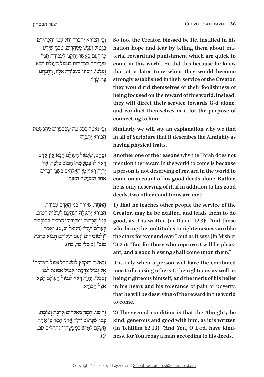ׇ֦֧֧֧֖֖֖֧֚֚֚֝֬֝֬֓֓֕֓֡֓֬֓֓֕֓֬֓<u>֓</u> וְכֵן הַבּוֹרֵא יִתְבְרֵךְ יִהֵל עַמּוֹ וְהִפְּחִידָם בִּנְמוּל וְעָנֶשׁ מְמַהֲרִים, מִפְּנֵי שֶׁיָּדַע כִּי הָעָם כַּאֲשֶׁר יְהָקְנוּ לַעֲבוֹדָה תִּגְּל ּ מֵ עֲ לֵ יהֶ ם סִ כְ לו ּ תָ ם בִּ גְ מו ֹ ל הָ עולָ ם הַ בָּ א וְ יָעֲ נָשׁוֹ, וְיִכְוְנוּ בַּעֲבוֹדָה אֱלָיו, וְיִתְנַהֲגוּ ּבָּ ה עָ דָ יו.

וְבֵן נֹאמַר בְּבָל מַה שֶׁבַּםְפָרִים מֵהַגְשָׁמַת . ֹהַ בּ ורֵ א יִתְ בָּ רֵ ך ְ

וּמֵהֶם, שֶׁגְּמוּל הָעוֹלָם הַבְּא אֵין אָדָם<br>רָאוּי לוֹ בְּמַעֲשֵׂהוּ הַטּוֹב בִּלְבָד, אַךְ יְהָיֶה רַאוּי מִן הָאֱלֹהִים בִּשְׁנֵי דְבָרִים  $\epsilon$ אַחַר הַמַּעֲשֶׂה הַמּוֹב:

הָאֲחָד, שֵׁיוֹרֶה בְּנֵי הָאָדָם עֲבוֹדַת ֹהַ בּ ו ּ רֵ א יִתְ עַ ל ֶׂ ה וְ יַנְ הִ יגֵ ם לַ עֲ שֹו ּ ת הַ טֹוב, כִמו*ֹ ש*ֵׁכָתוּב ״וּמַצְדִיקֵי הָרַבִּים כַּכּוֹכָבִים לְעוֹלָם וַעָד" (דניאל יב, ג), וְאֲמֵר ּ "וְ לַ מֹו ּ כִ יחִ ים יִנְ עָ ם וַ עֲ לֵ יהֶ ם ת ָֹ בו ּ א בִ רְ כַ ת טוֹב" (משלי כד, כה).

וְכַאֲשֶׁר יְתִקְבֵּץ לַמְּשִׁתַּדֵּל גְּמוּל הַצְדָקָתוֹ  $\lambda$  אֵל גִמוּל צִדקתוֹ וּגְמוּל אִמוּנת לִבּוֹ ֹ וְ סִ בְ לו ּ , יִהְ יֶה רָ או ּ י לִ גְ מו ֹ ל הָ עולָ ם הַ בָּ א ֹ אֵ צֶ ל הַ בּ ורֵ א.

ּׁ וְ הַ שֵ נִ י, חֶ סֶ ד מֵ אֱ לֹ ּ הִ ים ו ֹ נְ דָ בָ ה וְ טובָ ה, כְּמוֹ שֶׁכָּתוּב "וּלְך<mark>ּ אֲ</mark>דֹנִי חָםֶד כִּי אַתְּה ָ תִּשׁלִם לְאִישׁ כּמעָשׂהוּ״ (תהלים סב, יג(.

So too, the Creator, blessed be He, instilled in his terial reward and punishment which are quick to nation hope and fear by telling them about macome in this world. He did this because he knew that at a later time when they would become strongly established in their service of the Creator, they would rid themselves of their foolishness of being focused on the reward of this world. Instead, they will direct their service towards G-d alone, and conduct themselves in it for the purpose of connecting to him.

**Similarly** we will say an explanation why we find in all of Scripture that it describes the Almighty as having physical traits.

Another one of the reasons why the Torah does not mention the reward in the world to come is **because** a person is not deserving of reward in the world to come on account of his good deeds alone. Rather, he is only deserving of it, if in addition to his good deeds, two other conditions are met:

**1**) That he teaches other people the service of the Creator, may he be exalted, and leads them to do good, as it is written (in Daniel 12:3): "And those who bring the multitudes to righteousness are like the stars forever and ever" and as it says (in Mishlei ant, and a good blessing shall come upon them." 24:25): "But for those who reprove it will be pleas-

It is only when a person will have the combined merit of causing others to be righteous as well as being righteous himself, and the merit of his belief in his heart and his tolerance of pain or poverty, that he will be deserving of the reward in the world to come.

**2)** The second condition is that the Almighty be kind, generous and good with him, as it is written ness, for You repay a man according to his deeds." (in Tehillim 62:13): "And You, O L-rd, have kind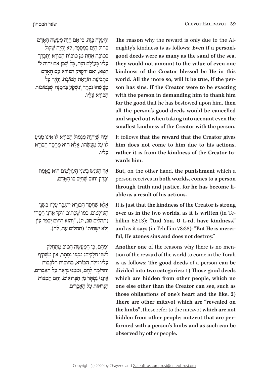mighty's kindness is as follows: Even if a person's The reason why the reward is only due to the Algood deeds were as many as the sand of the sea, they would not amount to the value of even one kindness of the Creator blessed be He in this son has sins. If the Creator were to be exacting world. All the more so, will it be true, if the perwith the person in demanding him to thank him for the good that he has bestowed upon him, then all the person's good deeds would be cancelled and wiped out when taking into account even the smallest kindness of the Creator with the person.

It follows that the reward that the Creator gives him does not come to him due to his actions, rather it is from the kindness of the Creator to-<br>wards him.

But, on the other hand, the punishment which a person receives in both worlds, comes to a person through truth and justice, for he has become li-<br>able as a result of his actions.

It is just that the kindness of the Creator is strong hillim 62:13): "And You, O L-rd, have kindness," over us in the two worlds, as it is written (in Teand as it says (in Tehillim 78:38): "But He is merci-ful, He atones sins and does not destroy."

tion of the reward of the world to come in the Torah Another one of the reasons why there is no menis as follows: The good deeds of a person can be divided into two categories: 1) Those good deeds which are hidden from other people, which no one else other than the Creator can see, such as those obligations of one's heart and the like. 2) There are other mitzvot which are "revealed on the limbs", these refer to the mitzvot which are not formed with a person's limbs and as such can be hidden from other people; mitzvot that are per**observed** by other people.

וְהַעַלָּה בֵּזֶה, כִּי אִם הַיָּה מֵעֲשֶׂה הָאָדָם ْכְחוֹל הַיָּם בְּמִסְפֵּר, לֹא יְהָיֶה שַׁקוּל בְּטוֹבָה אַחַת מִן טוֹבוֹת הַבּוֹרָא יִתְבַּרֶך ֹעֲלֵיו בַּעוֹלָם הַזָּה, כַּל שָׁכֵּן אִם יְהָיָה לוֹ הַטְא, וְאִם יְדַקְדֶק הַבּוֹרֵא עָם הָאָדָם בִּתְבִיעַת הוֹדָאַת הַטּוֹבָה, יִהְיֶה כָּל ּכִּוּעֲשֵׂהוּ נִכְהָד וְנִשְׁקָע בַּקְטַנָּה שֶׁבְּטוֹבוֹת ֹהַ בּ ורֵ א עָ לָ יו.

וּמַה שֵׁיְהָיָה מִגְּמוּל הַבּוֹרֵא לוֹ אֵינוֹ מַגִּיעַ ֿלוֹ עַל מַעֲשֶׂהוּ, אֵלָא הוּא מֵחֵםֵד הַבּוֹרֵא עָ לָ יו.

אַך הָעֹנֶשׁ בִּשְׁנֵי הָעוֹלָמִים הוּא בֶּאֱמֶת וּבְדִין וְחוֹב שֶׁחַיַּב בּוֹ הָאֲדָם,

אַלַא שַׁחֲםֵד הַבּוֹרָא יִתְגַּבֵּר עַלְיו בַּשָּׁנֵי הְעוֹלְמִים, כְּמוֹ שֶׁכְּתוּב "וּלְךָ אֲדֹנָי חָםֶד" (תהלים סב, יג), "וְהוּא רַחוּם יְכַפֵּר עָוֹן וְלֹא יַשְׁחִית" (תהלים עח, לח).

ּו ּ מֵ הֶ ם, כ ִּ י הַ מ ַׂ עֲ ש ּ ֶ ה הַ טֹו ּ ב מִ תְ חַ לֵ ק לִשׁנִי חלִקִים: מִמְּנּוּ נִסְתְּר, אִין מַשְׁקִיף עליו זוּלת הבּוֹרא, כּחוֹבוֹת הלכבוֹת ּ וְ הַ דֹו ּ מֶ ה לָ הֶ ם, ו ּמִ מ ּ ֶ נּו נִ רְ אֶ ה עַ ל הָ אֵ בָ רִ ים, ּ אֵ ינֶ נּו ּ נִ סְ ת ָּ ר מִ ן הַ בְּ רו ּ אִ ים, וְ הֵ ם הַ מִ צְ וֹת הנראות על האברים.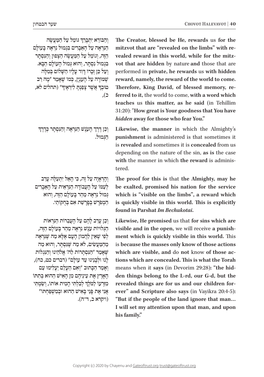ְוְהַבּוֹרֵא יִתְבְּרֵךְ גּוֹמֵל עַל הַמַּעֲשֶׂה הַנִּרְאֶה עַל הַאֲבָרִים בִּגְמוּל נִרְאֶה בַּעוֹלֵם ּהַזֶּה, וְגוֹמֵל עַל הַמַּעֲשֶׂה הַצָּפוּן וְהַנִּסְתַּר ּ בִּ גְ מו ּ ל נִ סְ ת ָּ ר, וְ הו ּא ג ּ ְ מו ֹ ל הָ עולָ ם הַ בָּ א. וְעַל כֵּן זְכֵרוֹ דְּוִד עָלָיו הַשֵּׁלוֹם בְּמִלָּה שׁמּוֹרָה עַל הַעַנְיַן, כְּמוֹ שֵׁאַמַר "מַה רַב ְמוּבְךָ אֲשֶׁר צְפַנְתְּ לִירֵאֶיךָ" (תהלים לא, ָכ(,

ְ וְכֵן דֶרֶךָ הָעָנֶשׁ הַּנִּרְאֶה וְהַנִּפְתָּר כְּדֶרֶךְ ּהַ ג ּ ְ מול.

והראיה על זה, כּי האל יתעלה ערב לִעָמּוֹ עַל העַבוֹדה הנּראית עַל האברים  $\kappa$ גמוּל נראה מהר בּעוֹלם הזה, והוא ֹ הַ מְ פ ׁרָ ש ׁ בְּ פָ רָ ש ַּ ת אִ ם בְּ חֻ קֹותַ י.

וְכֵן עַרַב לַהֶם עַל הַעֲבֵרוֹת הַנִּרְאוֹת ֿהַגְּלוּיוֹת עֹנֶשׁ נִרְאֶה מַהֵר בְּעוֹלָם הַזֶּה, לְפִי שֵׁאֵין לַהֲמוֹן הַעָם אֵלֵא מֵה שֵׁנֵּרְאֵה מַהַמַּעֲשִׂים, לֹא מֵה שֵׁנַּםְתֵּר, וְהוּא מֵה ֿשֵׁאָמַר "הַנְּסְתַּרוֹת לַה' אֱלֹהֵינוּ וְהַנְגְלוֹת לְנוּ וּלְבָנִינוּ עַד עוֹלַם" (דברים כט, כה), וְאָמֶר הַכָּתוּב "וְאָם הַעָלִם יַעָלִימוּ עַם ֿ הָאָרִץ אֶת עֵינֵיהֶם מִן הָאִישׁ הַהוּא בִּתְתּו ְּמְזַרְעוֹ לַמֹּלֶךְ לְבִלְתִי הָמִית אוֹתוֹ, וְשַׂמְתִי ֿאֲנִי אֶת פָּנֵי בָאִישׁ הַהוּא וּבְמִשְׁפַּחִתּוֹ" )ויקרא כ, ד־ה(. The Creator, blessed be He, rewards us for the vot that are hidden by nature and those that are vealed reward in this world, while for the mitzmitzvot that are "revealed on the limbs" with reperformed in private, he rewards us with hidden reward, namely, the reward of the world to come.  **ferred to it, the world to come, with a word which** Therefore, King David, of blessed memory, reteaches us this matter, as he said (in Tehillim **have 31:20): "How great is Your goodness that You have** hidden away for those who fear You."

Likewise, the manner in which the Almighty's punishment is administered is that sometimes it is revealed and sometimes it is concealed from us depending on the nature of the sin, as is the case with the manner in which the reward is administered.

The proof for this is that the Almighty, may he be exalted, promised his nation for the service which is "visible on the limbs", a reward which is quickly visible in this world. This is explicitly **found** in Parshat *Im Bechukotai*.

Likewise, He promised us that for sins which are ment which is quickly visible in this world. This **visible and in the open, we will receive a punish**is because the masses only know of those actions tions which are concealed. This is what the Torah which are visible, and do not know of those acden things belong to the L-rd, our G-d, but the means when it says (in Devorim 29:28): "the hid**ever**" and Scripture also says (in Vayikra 20:4-5): revealed things are for us and our children for-"But if the people of the land ignore that man... I will set my attention upon that man, and upon his family."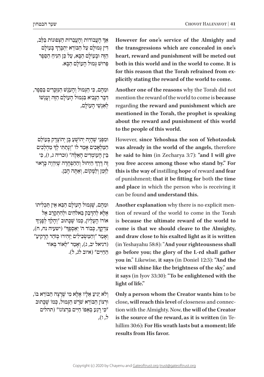ְֹאַךְ הָעֲבוֹדוֹת וְהָעֲבֵרוֹת הַצְפוּנוֹת בַּלֵּב, ׇ֦֧֧֧֖֖֖֧֚֚֚֝֬֝֬֓֓֕֓֡֓֬֓֓֕֓֬֓<u>֓</u> דִין גְּמוּלָם עַל הַבּוֹרֵא יִתְבְּרֵךְ בְּעוֹלָם הֵזָה וּבְעוֹלַם הַבָּא, עַל כֵּן הִנִּיחַ הַסֵּפֵר ּ פֵּ רו ׁש ּ ג ְּ מו ֹ ל הָ עולָ ם הַ בָּ א.

ּוּמֵהֶם, כִּי הַגְּמוּל וְהָעֹנֶשׁ הַגִּזְכָּרִים בַּסֵפֶר, דִּבֵּר הַנַּבִיא בִּגְמוּל הַעוֹלַם הַזֶּה וְעַנְשׁוֹ לאנשי העולם,

וּמִפְּנֵי שֶׁהָיָה יְהוֹשָׁעַ בֵּן יְהוֹצָדָק בְּעוֹלַם הַמַּלְאָכִים אָמַר לוֹ "וְנָתַתִּי לְךָ מַהְלְכִים בִין העוֹמדים האלה" (זכריה ג, ז), כּי ְּ זֶה דֶּרֶדְ הַיִּחוּל וְהַהַפְּחָדָה שֶׁיִּהְיֶה כְּרָאוּי לזמן ולַמַקוֹם, וְאַתָּה הָבֵן.

וּמֵהֵם, שֵׁגְּמוּל הַעוֹלַם הַבֵּא אֵין תִּכְלִיתוֹ  $\epsilon$ אֲלֵא לְהִדְּבֵק בֵּאלֹהִים וּלְהִתְקַרֶב אֶל ָ אוֹרוֹ הָעֶלְיוֹן, כְּמוֹ שֶׁבְתוּב "וְהָלַדְ לְפָנֶיךָ יְשׂעִיה נח, ח), יַאַסְפֶרְ" (ישׂעִיה נח, ח), ָוְ אָמַר "וְהַמַּשְׂכִילִים יַזְהִירוּ כְּזֹהָר הַרַקִיעַ (דניאל יב, ג), וְאָמֵר "לֵאוֹר בְּאוֹר ּ הַ חַ יִים" )איוב לג, ל(.

וְלֹא יַגִּיעָ אֵלִיו אֵלֵא מִי שֵׁרַצָה הַבּוֹרָא בּוֹ, וּרְצוֹן הַבּוֹרֵא שֹׁרֵשׁ הַגְּמוּל, כְּמוֹ שֵׁכְּתוּב ּ"כ ֹ ִ י רֶ גַ ע בְּ אַ פּ ו ּ חַ י ֹ ִים בִּ רְ צו ֹנו" )תהלים ל, ו(, However for one's service of the Almighty and the transgressions which are concealed in one's heart, reward and punishment will be meted out both in this world and in the world to come. It is plicitly stating the reward of the world to come. for this reason that the Torah refrained from ex-

Another one of the reasons why the Torah did not mention the reward of the world to come is **because** regarding the reward and punishment which are mentioned in the Torah, the prophet is speaking about the reward and punishment of this world to the people of this world.

**However, since Yehoshua the son of Yehotzodok** was already in the world of the angels, therefore **he said to him** (in Zecharya 3:7): "and I will give you free access among those who stand by." For **fear** this is the way of instilling hope of reward and fear of punishment; that it be fitting for both the time and place in which the person who is receiving it can be found and understand this.

Another explanation why there is no explicit mention of reward of the world to come in the Torah is because the ultimate reward of the world to come is that we should cleave to the Almighty, and draw close to his exalted light as it is written (in Yeshayahu 58:8): "And your righteousness shall go before you; the glory of the L-rd shall gather **you in**." Likewise, it says (in Doniel 12:3): "And the wise will shine like the brightness of the sky," and it says (in Iyov 33:30): "To be enlightened with the light of life."

Only a person whom the Creator wants him to be tion with the Almighty. Now, the will of the Creator close, will reach this level of closeness and connec**is the source of the reward, as it is written (in Te-**<br>hillim 30:6): For His wrath lasts but a moment; life **results** from His favor.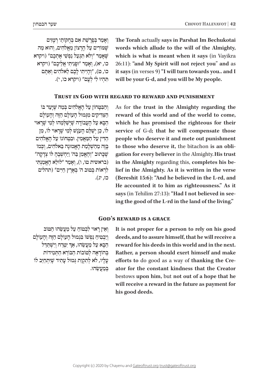ׁ וְ אָ מַ ר בְּ פָ רָ ש ּ ַ ת אִ ם בְּ חֻ קֹותַ י רְ מָ זִים ְשָׁמּוֹרִים עַל הַרַצוֹן מֵאֱלֹהִים, וְהוּא מֵה ּׁשֶ אָ מַ ר "וְ לֹ ׁ א תִ גְ עַ ל נַ פְ ש ִ י אֶ תְ כֶ ם" )ויקרא כו, יא), וְאָמַר "וּפָנִיתִי אֲלֵיכֶם" (ויקרא כו, ט), "וְהִייתִי לָכֶם לֵאלֹהִים וְאֵתֶם ּת ּ ִ הְ יו לִ י לְ עָ ם" )ויקרא כו, י(.  **The Torah actually says in Parshat Im Bechukotai** words which allude to the will of the Almighty, which is what is meant when it says (in Vayikra) 26:11): "and My Spirit will not reject you" and as  **it says** (in verses 9) "I will turn towards you.. and I will be your G-d, and you will be My people.

# **TRUST IN GOD WITH REGARD TO REWARD AND PUNISHMENT**

והבּמַחוֹן על האלהים במה שיעד בו ּהַ צ ּ ַ ד ִ ִ יק ּ ים מִ ג ְּ מו ֹ ל הָ עו ּ לָ ם הַ ז ֹ ֶה וְ הָ עולָ ם הַבָּא עַל הַעֲבוֹדַה **שִׁיִּשַׁלְמֵהוּ לְמִי שַׁרַאוּי** לוֹ, כֵן יְשֵׁלַם הָעָנֶשׁ לְמִי שֶׁרָאוּי לוֹ, מִן ּהַ ד ּ ִ ין עַ ל הַ מ ַּ אֲ מִ ין. ו ֹ בִ טְ חו ֹנו עַ ל הָ אֱ לֹהִ ים ְבָּזֶה מֵהַשְׁלַמַת הַאֲמוּנֵה בֵּאלֹהִים, וְכְּמוֹ ֿשְׁכֵּתוּב "וְהֶאֵמַן בַּה' וַיַּחֲשָׁבָה לּוֹ צָדַקָה" (בראשית טו, ו), וְאָמֵר "לוּלֵא הֶאֱמַנְתִּי לראות במוּב ה' בארץ חיים" (תהלים כז, יג).

As for the trust in the Almighty regarding the reward of this world and of the world to come, which he has promised the righteous for their service of G-d; that he will compensate those people who deserve it and mete out punishment gation for every believer in the Almighty. His trust to those who deserve it, the bitachon is an oblilief in the Almighty. As it is written in the verse in the Almighty regarding this, completes his be-(Bereshit 15:6): "And he believed in the L-rd, and He accounted it to him as righteousness." As it ing the good of the L-rd in the land of the living." says (in Tehilim 27:13): "Had I not believed in see-

# **GOD'S REWARD IS A GRACE**

וֹאין רֹאוּי לִבְטוֹח עַל מַעָשׂהוּ הִטּוֹב וְיַבְטִיחַ נַפְשׁוֹ בְּגְמוּל הַעוֹלַם הַזֶּה וְהַעוֹלַם ְהַבָּא עַל מַעֲשֵׂהוּ, אַךְ יִטְרַח וְיִשְׁתַּדֵּל בהודאה למוֹבוֹת הבּוֹרא התּמידוֹת עֲלֵיו, לֹא לְתִקְוַת גְּמוּל עֲתִיד שֵׁיַּתְחַיֵּב לוֹ ׂ בְּ מַ עֲ ש ּ ֵ הו. It is not proper for a person to rely on his good deeds, and to assure himself, that he will receive a reward for his deeds in this world and in the next. Rather, a person should exert himself and make ator for the constant kindness that the Creator efforts to do good as a way of thanking the Crebestows upon him, but not out of a hope that he will receive a reward in the future as payment for his good deeds.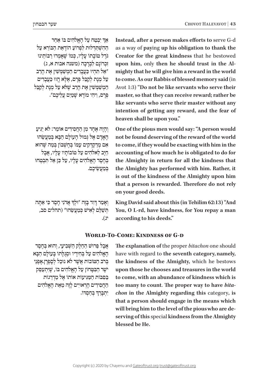Instead, after a person makes efforts to serve G-d as a way of paying up his obligation to thank the Creator for the great kindness that he bestowed mighty that he will give him a reward in the world upon him, only then he should trust in the Alto come. As our Rabbis of blessed memory said (in Avot 1:3) "Do not be like servants who serve their master, so that they can receive reward; rather be like servants who serve their master without any intention of getting any reward, and the fear of heaven shall be upon you."

One of the pious men would say: "A person would not be found deserving of the reward of the world to come, if they would be exacting with him in the accounting of how much he is obligated to do for the Almighty in return for all the kindness that the Almighty has performed with him. Rather, it is out of the kindness of the Almighty upon him that a person is rewarded. Therefore do not rely on your good deeds.

**King David said about this (in Tehilim 62:13)** "And You, O L-rd, have kindness, for You repay a man according to his deeds."

# **WORLD-TO-COME: KINDNESS OF G-D**

The explanation of the proper *bitachon* one should have with regard to the seventh category, namely, the kindness of the Almighty, which he bestows upon those he chooses and treasures in the world to come, with an abundance of kindness which is *chon* in the Almighty regarding this category, is too many to count. The proper way to have *bita*that a person should engage in the means which **serving of this special kindness from the Almighty** will bring him to the level of the pious who are deblessed be He.

אַף יִבְטַח עַל הָאֱלֹהִים בּוֹ אַחַר ׁ הַ הִ ש ּ ְ ת ַּ ד ּ ְ לו ֹ ת לִ פְ רו ֹ עַ הו ֹ דָ אַ ת הַ בּ ורֵ א עַ ל **ּגֹדֵל מוֹבָתוֹ עַלְיו, כִּמוֹ שֵׁאֲמְרוּ רַבּוֹתֵינוּ** ֹ זִכְ רונָ ם לִ בְ רָ כָ ה )משנה אבות א, ג( אַל תְּהִיוּ כַּעֲבָדִים הַמְשָׁמַשִׁין אֶת הַרַב" ַ עַל מִנָת לְקַבִּל פְּרַם, אֵלֵא הֵווּ כַּעֲבַדִים הַמְשַׁמְּשִׁין אֶת הָרַב שֱלֹּא עַל מִנָּת לִקַבֵּל ֹ פְּ רָ ס, וִ יהִ י מו ׁ רָ א שָ מַ יִם עֲ לֵ יכֶ ם".

וְהָיָה אֱחָד מְן הַחֲסִידִים אוֹמֵר: לֹא יְגִיעַ ּ . . .<br>האדם אל גִמוּל הַעוֹלַם הַבָּא בְּמַעֲשָׂהוּ אִם מְדַקְדָקִים עַמּוֹ בְּחֵשְׁבּוֹן בְּמֵה שֵׁהוּא ּחַיֵּב לִאלֹהִים עַל טוֹבוֹתֵיו עַלִיו, אֲבָל בְּחֶםֶר הַאֲלֹהִים עַלָיו, עַל כֵּן אֵל תַּבְטְחוּ במעשׂיכם.

וְאָמַר דְּוִד בְּזֶה "וּלְךְ אֲדֹנִי חָםֶד כִּי אַתְּה תּשׁלִם לֹאישׁ כּמעָשׂהוּ" (תהלים סב, יג(.

ּ אֲ בָ ל פֵּ רו ׁש ּׁ הַ חֵ לֶ ק הַ ש ִ ְ בִ יע ּ י, וְ הוא בְּ חֶ סֶ ד הַאֲלֹהִים עַל בְּחִירֵיו וּסְגַלֵּתוֹ בְּעוֹלָם הַבָּא בְּרֹב הַטּוֹבוֹת אֲשֶׁר לֹא נוּכַל לְסַפְרַן.אַפְּנֵי יֹשֵׁר הַבִּטֵּחוֹן עַל הַאֲלֹהִים בּוֹ, שֵׁיּתְעַםֵּק בִּפְבוֹת הַמַּגִּיעוֹת אוֹתוֹ אֵל מַדְרֲגוֹת ּ הַ חֲ סִ ידִ ים הָ רְ אויִים לָ זֶה מֵ אֵ ת הָ אֱ לֹהִ ים ְיִתְבְּרֵךְ בְּחַסְדוֹ.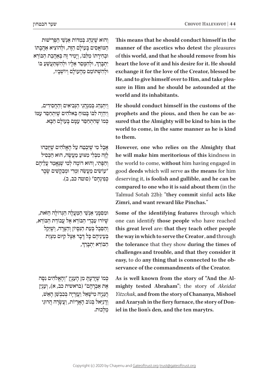ּ וְ הו ׁא שֶּ י ּ ִנְ הַ ג בְּ מִ דֹו ׁ ת אַ נְ ש ֵׁ י הַ פְּ רִ ישּות הַמּוֹאֵסִים בַּעוֹלַם הַזֶּה, וּלְהוֹצִיא אַהֲבָתוֹ וּבְחִירַתוֹ מִלְּבּוֹ, וְיַמִיר זֶה בִּאֲהֲבַת הַבּוֹרָא ְֿיִתְבְּרֵךָ, וּלְהִמְּםֵר אֵלְיו וּלְהִשְׁתַּעֲשֵׁעַ בּוֹ ּו ׁ לְ הִ ש ְּ תֹו ֹ מֵ ם מֵ הָ עו ֹ לָ ם וְ יו ׁש ְ בָ יו,

וְיִתְנַהֵג בִּמְנְהֲגֵי הַנִּבִיאִים וְהַחֲסִידִים, וְיִהְיֶה לְבּוֹ בָּטוּחַ בֵּאלֹהִים שֶׁיְתִחַםֵּד עָמּוֹ כִּמוֹ שֶׁהָתְחָםֵר עַמֵּם בַּעַוֹלַם הַבָּא.

**אֵבַל מִי שַׁיִּבְטֵח עַל הַאֱלֹהִים שֵׁיְזַכֵּהוּ** לִזה מִבּלִי מִצוּע מִעָשׂה, הוּא הכּסיל וְהַפֶּתִי, וְהוּא דוֹמֶה לְמִי שֶׁנֶּאֱמַר עֲלֵיהֶם ֿעוֹשִׂים מַעֲשֵׂה זִמְרִי וּמִבָקִשִׁים שַׂבַר ּכ ְ פִ ינְ חָ ס" )סוטה כב, ב(.

ּו ּמִ ס ּ ִ מ ָׁ נֵ י אַ נְ ש ּ ֵ י הַ מ ַּ עֲ לָ ה הַ ג ֹ ְ דו ּ לָ ה הַ זֹאת, ְשִׁיּוֹרוּ עַבְדִי הַבּוֹרָא אֵל עֲבוֹדַת הַבּוֹרָא, וְהַסֵּבֵל בְּעֵת הַנְּסֵיוֹן וְהַצָּרָה, וְשֵׁיֵקַל בְּעֵינֵיהֶם כַּל דַּבֵר אֵצֶל קִיּוּם מִצְוַת ׇ֦֧֧֧֖֖֖֧֚֚֚֝֬֝֬֓֓֕֓֡֓֬֓֓֕֓֬֓<u>֓</u> הַבּוֹרֵא יִתְבְּרֵךּ,

ּכְמוֹ שֶׁיָדַעָתָּ מִן הָעָנְיָן "וְהָאֵלֹהִים נִפַּה אֶת אַבְרַהָם" (בראשית כב, א), וְעָנְיַן הַנַּנְיָה מְישָׁאֵל וַעֲזַרְיָה בְּבְבְשֵׁן הָאֵשׁ, וְדָנְיֵאל בְּגוֹב הָאֲרָיוֹת, וַעֲשֲׂרָה הֲרוּגֵי ּ מַ לְ כות.

This means that he should conduct himself in the manner of the ascetics who detest the pleasures of this world, and that he should remove from his heart the love of it and his desire for it. He should exchange it for the love of the Creator, blessed be sure in Him and he should be astounded at the He, and to give himself over to Him, and take pleaworld and its inhabitants.

**He should conduct himself in the customs of the** sured that the Almighty will be kind to him in the prophets and the pious, and then he can be asworld to come, in the same manner as he is kind to them.

However, one who relies on the Almighty that he will make him meritorious of this kindness in the world to come, without him having engaged in good deeds which will serve as the means for him deserving it, is foolish and gullible, and he can be compared to one who it is said about them (in the **Talmud Sotah 22b): "they commit sinful acts like Zimri**, and want reward like Pinchas."

Some of the identifying features through which one can identify those people who have reached this great level are: that they teach other people the way in which to serve the Creator, and through the tolerance that they show during the times of challenges and trouble, and that they consider it **easy**, to do any thing that is connected to the observance of the commandments of the Creator.

As is well known from the story of "And the Al-<br>mighty tested Abraham"; the story of *Akeidat Yitzchak*, and from the story of Chananya, Mishoel and Azaryah in the fiery furnace, the story of Don-<br>iel in the lion's den, and the ten marytrs.